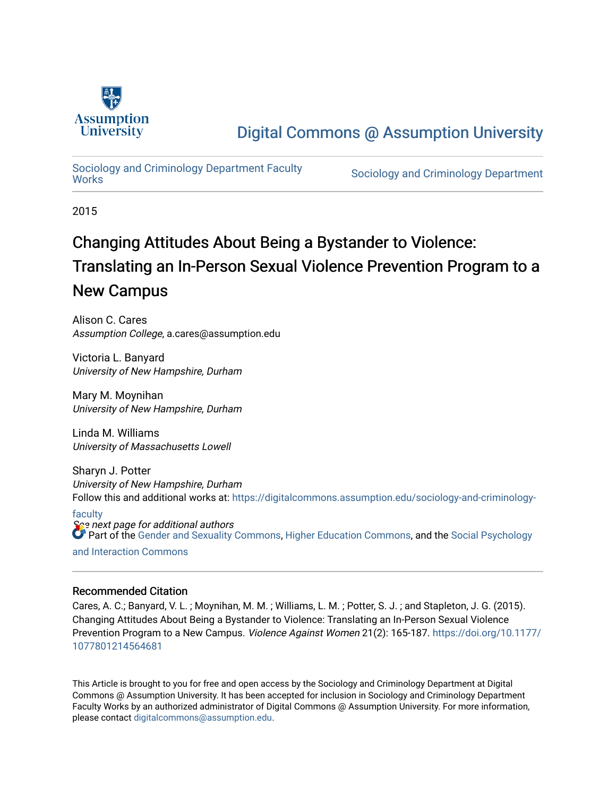

# [Digital Commons @ Assumption University](https://digitalcommons.assumption.edu/)

# [Sociology and Criminology Department Faculty](https://digitalcommons.assumption.edu/sociology-and-criminology-faculty)

Sociology and Criminology Department

2015

# Changing Attitudes About Being a Bystander to Violence: Translating an In-Person Sexual Violence Prevention Program to a New Campus

Alison C. Cares Assumption College, a.cares@assumption.edu

Victoria L. Banyard University of New Hampshire, Durham

Mary M. Moynihan University of New Hampshire, Durham

Linda M. Williams University of Massachusetts Lowell

Sharyn J. Potter University of New Hampshire, Durham Follow this and additional works at: [https://digitalcommons.assumption.edu/sociology-and-criminology-](https://digitalcommons.assumption.edu/sociology-and-criminology-faculty?utm_source=digitalcommons.assumption.edu%2Fsociology-and-criminology-faculty%2F3&utm_medium=PDF&utm_campaign=PDFCoverPages)

se next page for additional authors [faculty](https://digitalcommons.assumption.edu/sociology-and-criminology-faculty?utm_source=digitalcommons.assumption.edu%2Fsociology-and-criminology-faculty%2F3&utm_medium=PDF&utm_campaign=PDFCoverPages) **Part of the [Gender and Sexuality Commons](http://network.bepress.com/hgg/discipline/420?utm_source=digitalcommons.assumption.edu%2Fsociology-and-criminology-faculty%2F3&utm_medium=PDF&utm_campaign=PDFCoverPages), [Higher Education Commons,](http://network.bepress.com/hgg/discipline/1245?utm_source=digitalcommons.assumption.edu%2Fsociology-and-criminology-faculty%2F3&utm_medium=PDF&utm_campaign=PDFCoverPages) and the [Social Psychology](http://network.bepress.com/hgg/discipline/430?utm_source=digitalcommons.assumption.edu%2Fsociology-and-criminology-faculty%2F3&utm_medium=PDF&utm_campaign=PDFCoverPages)** 

[and Interaction Commons](http://network.bepress.com/hgg/discipline/430?utm_source=digitalcommons.assumption.edu%2Fsociology-and-criminology-faculty%2F3&utm_medium=PDF&utm_campaign=PDFCoverPages)

#### Recommended Citation

Cares, A. C.; Banyard, V. L. ; Moynihan, M. M. ; Williams, L. M. ; Potter, S. J. ; and Stapleton, J. G. (2015). Changing Attitudes About Being a Bystander to Violence: Translating an In-Person Sexual Violence Prevention Program to a New Campus. Violence Against Women 21(2): 165-187. [https://doi.org/10.1177/](https://doi.org/10.1177/1077801214564681) [1077801214564681](https://doi.org/10.1177/1077801214564681) 

This Article is brought to you for free and open access by the Sociology and Criminology Department at Digital Commons @ Assumption University. It has been accepted for inclusion in Sociology and Criminology Department Faculty Works by an authorized administrator of Digital Commons @ Assumption University. For more information, please contact [digitalcommons@assumption.edu](mailto:digitalcommons@assumption.edu).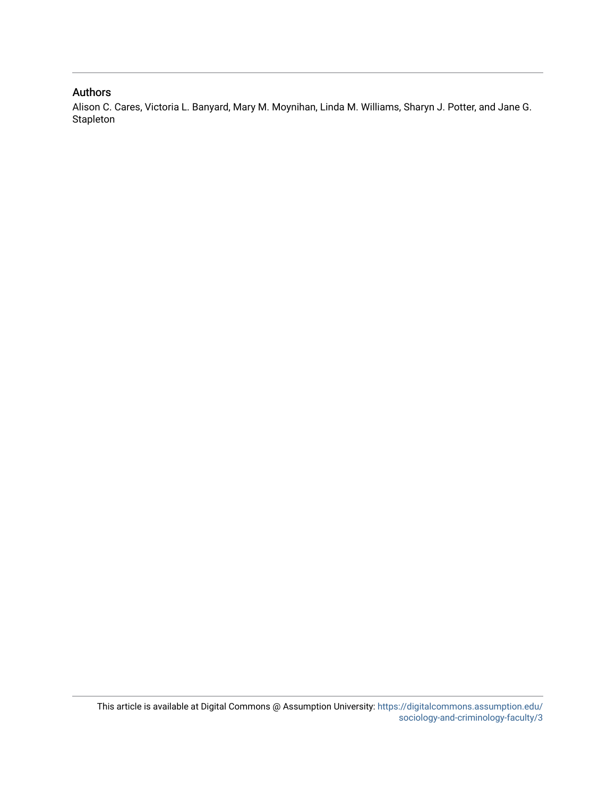#### Authors

Alison C. Cares, Victoria L. Banyard, Mary M. Moynihan, Linda M. Williams, Sharyn J. Potter, and Jane G. Stapleton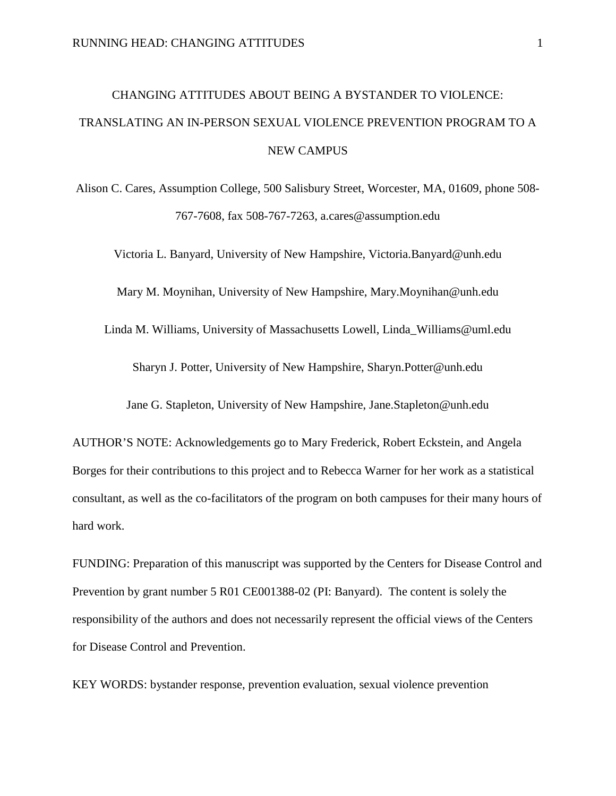# CHANGING ATTITUDES ABOUT BEING A BYSTANDER TO VIOLENCE: TRANSLATING AN IN-PERSON SEXUAL VIOLENCE PREVENTION PROGRAM TO A NEW CAMPUS

Alison C. Cares, Assumption College, 500 Salisbury Street, Worcester, MA, 01609, phone 508- 767-7608, fax 508-767-7263, a.cares@assumption.edu

Victoria L. Banyard, University of New Hampshire, Victoria.Banyard@unh.edu

Mary M. Moynihan, University of New Hampshire, Mary.Moynihan@unh.edu

Linda M. Williams, University of Massachusetts Lowell, Linda\_Williams@uml.edu

Sharyn J. Potter, University of New Hampshire, Sharyn.Potter@unh.edu

Jane G. Stapleton, University of New Hampshire, Jane.Stapleton@unh.edu

AUTHOR'S NOTE: Acknowledgements go to Mary Frederick, Robert Eckstein, and Angela Borges for their contributions to this project and to Rebecca Warner for her work as a statistical consultant, as well as the co-facilitators of the program on both campuses for their many hours of hard work.

FUNDING: Preparation of this manuscript was supported by the Centers for Disease Control and Prevention by grant number 5 R01 CE001388-02 (PI: Banyard). The content is solely the responsibility of the authors and does not necessarily represent the official views of the Centers for Disease Control and Prevention.

KEY WORDS: bystander response, prevention evaluation, sexual violence prevention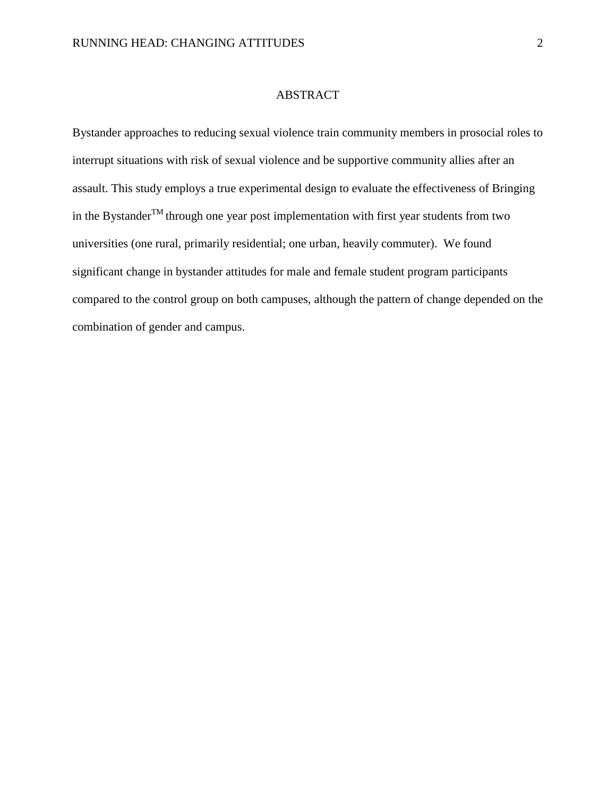#### ABSTRACT

Bystander approaches to reducing sexual violence train community members in prosocial roles to interrupt situations with risk of sexual violence and be supportive community allies after an assault. This study employs a true experimental design to evaluate the effectiveness of Bringing in the Bystander<sup>TM</sup> through one year post implementation with first year students from two universities (one rural, primarily residential; one urban, heavily commuter). We found significant change in bystander attitudes for male and female student program participants compared to the control group on both campuses, although the pattern of change depended on the combination of gender and campus.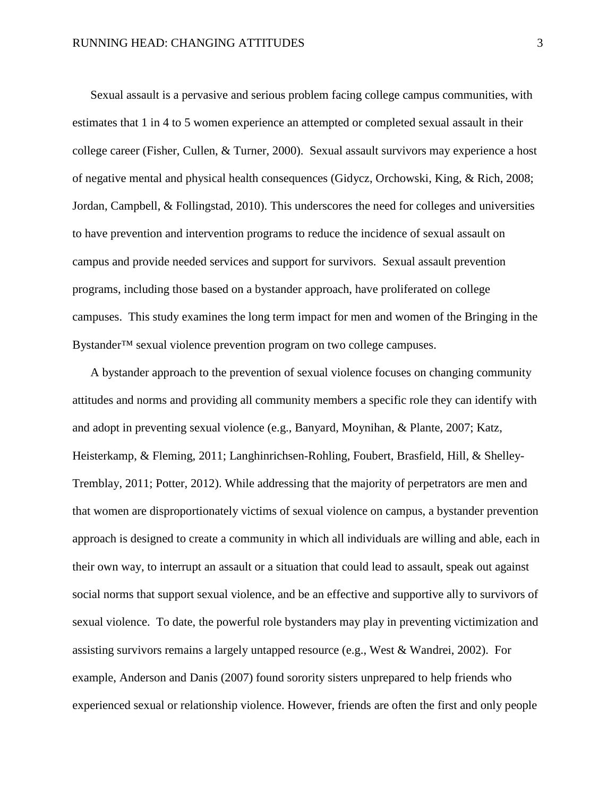Sexual assault is a pervasive and serious problem facing college campus communities, with estimates that 1 in 4 to 5 women experience an attempted or completed sexual assault in their college career (Fisher, Cullen, & Turner, 2000). Sexual assault survivors may experience a host of negative mental and physical health consequences (Gidycz, Orchowski, King, & Rich, 2008; Jordan, Campbell, & Follingstad, 2010). This underscores the need for colleges and universities to have prevention and intervention programs to reduce the incidence of sexual assault on campus and provide needed services and support for survivors. Sexual assault prevention programs, including those based on a bystander approach, have proliferated on college campuses. This study examines the long term impact for men and women of the Bringing in the Bystander™ sexual violence prevention program on two college campuses.

A bystander approach to the prevention of sexual violence focuses on changing community attitudes and norms and providing all community members a specific role they can identify with and adopt in preventing sexual violence (e.g., Banyard, Moynihan, & Plante, 2007; Katz, Heisterkamp, & Fleming, 2011; Langhinrichsen-Rohling, Foubert, Brasfield, Hill, & Shelley-Tremblay, 2011; Potter, 2012). While addressing that the majority of perpetrators are men and that women are disproportionately victims of sexual violence on campus, a bystander prevention approach is designed to create a community in which all individuals are willing and able, each in their own way, to interrupt an assault or a situation that could lead to assault, speak out against social norms that support sexual violence, and be an effective and supportive ally to survivors of sexual violence. To date, the powerful role bystanders may play in preventing victimization and assisting survivors remains a largely untapped resource (e.g., West & Wandrei, 2002). For example, Anderson and Danis (2007) found sorority sisters unprepared to help friends who experienced sexual or relationship violence. However, friends are often the first and only people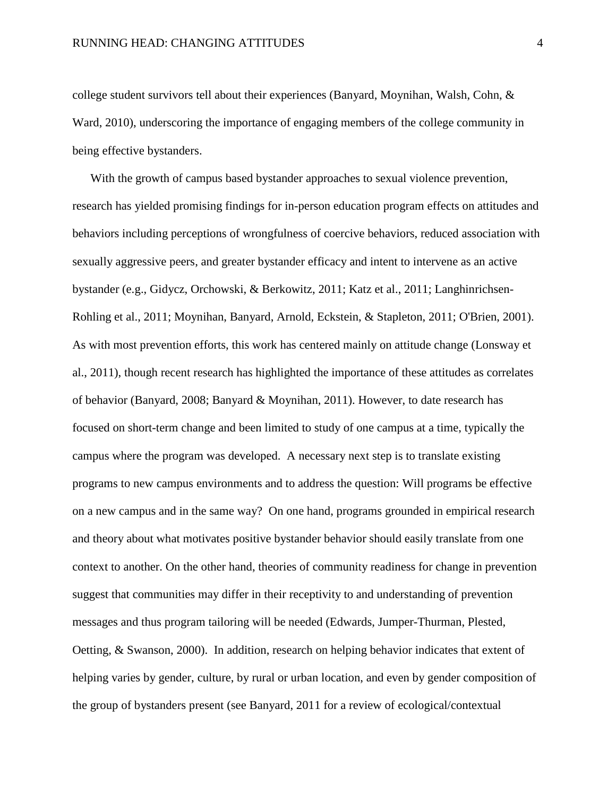college student survivors tell about their experiences (Banyard, Moynihan, Walsh, Cohn, & Ward, 2010), underscoring the importance of engaging members of the college community in being effective bystanders.

With the growth of campus based bystander approaches to sexual violence prevention, research has yielded promising findings for in-person education program effects on attitudes and behaviors including perceptions of wrongfulness of coercive behaviors, reduced association with sexually aggressive peers, and greater bystander efficacy and intent to intervene as an active bystander (e.g., Gidycz, Orchowski, & Berkowitz, 2011; Katz et al., 2011; Langhinrichsen-Rohling et al., 2011; Moynihan, Banyard, Arnold, Eckstein, & Stapleton, 2011; O'Brien, 2001). As with most prevention efforts, this work has centered mainly on attitude change (Lonsway et al., 2011), though recent research has highlighted the importance of these attitudes as correlates of behavior (Banyard, 2008; Banyard & Moynihan, 2011). However, to date research has focused on short-term change and been limited to study of one campus at a time, typically the campus where the program was developed. A necessary next step is to translate existing programs to new campus environments and to address the question: Will programs be effective on a new campus and in the same way? On one hand, programs grounded in empirical research and theory about what motivates positive bystander behavior should easily translate from one context to another. On the other hand, theories of community readiness for change in prevention suggest that communities may differ in their receptivity to and understanding of prevention messages and thus program tailoring will be needed (Edwards, Jumper-Thurman, Plested, Oetting, & Swanson, 2000). In addition, research on helping behavior indicates that extent of helping varies by gender, culture, by rural or urban location, and even by gender composition of the group of bystanders present (see Banyard, 2011 for a review of ecological/contextual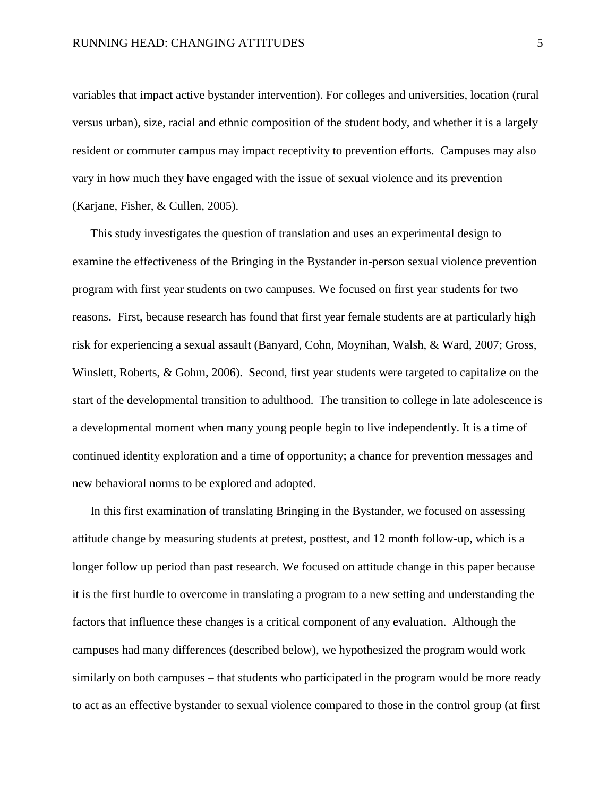variables that impact active bystander intervention). For colleges and universities, location (rural versus urban), size, racial and ethnic composition of the student body, and whether it is a largely resident or commuter campus may impact receptivity to prevention efforts. Campuses may also vary in how much they have engaged with the issue of sexual violence and its prevention (Karjane, Fisher, & Cullen, 2005).

This study investigates the question of translation and uses an experimental design to examine the effectiveness of the Bringing in the Bystander in-person sexual violence prevention program with first year students on two campuses. We focused on first year students for two reasons. First, because research has found that first year female students are at particularly high risk for experiencing a sexual assault (Banyard, Cohn, Moynihan, Walsh, & Ward, 2007; Gross, Winslett, Roberts, & Gohm, 2006). Second, first year students were targeted to capitalize on the start of the developmental transition to adulthood. The transition to college in late adolescence is a developmental moment when many young people begin to live independently. It is a time of continued identity exploration and a time of opportunity; a chance for prevention messages and new behavioral norms to be explored and adopted.

In this first examination of translating Bringing in the Bystander, we focused on assessing attitude change by measuring students at pretest, posttest, and 12 month follow-up, which is a longer follow up period than past research. We focused on attitude change in this paper because it is the first hurdle to overcome in translating a program to a new setting and understanding the factors that influence these changes is a critical component of any evaluation. Although the campuses had many differences (described below), we hypothesized the program would work similarly on both campuses – that students who participated in the program would be more ready to act as an effective bystander to sexual violence compared to those in the control group (at first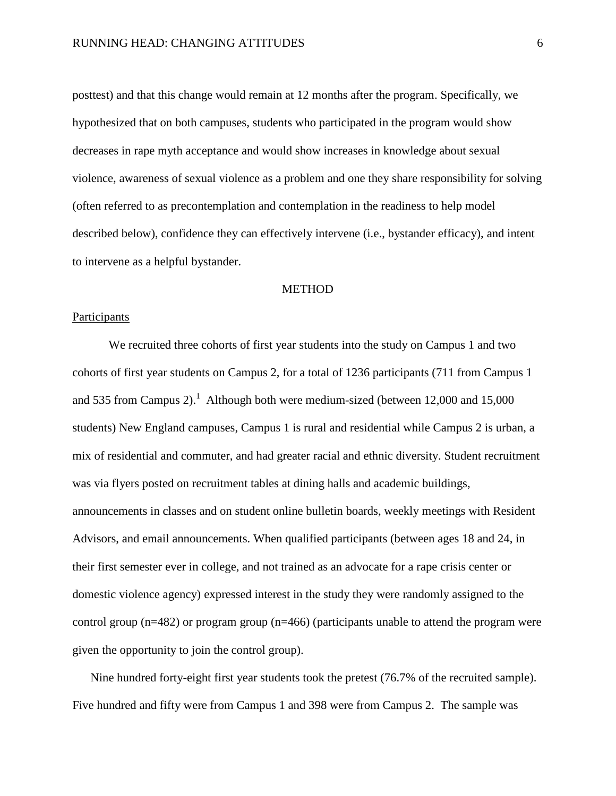posttest) and that this change would remain at 12 months after the program. Specifically, we hypothesized that on both campuses, students who participated in the program would show decreases in rape myth acceptance and would show increases in knowledge about sexual violence, awareness of sexual violence as a problem and one they share responsibility for solving (often referred to as precontemplation and contemplation in the readiness to help model described below), confidence they can effectively intervene (i.e., bystander efficacy), and intent to intervene as a helpful bystander.

#### **METHOD**

#### Participants

We recruited three cohorts of first year students into the study on Campus 1 and two cohorts of first year students on Campus 2, for a total of 1236 participants (711 from Campus 1 and 535 from Campus 2).<sup>1</sup> Although both were medium-sized (between 12,000 and 15,000 students) New England campuses, Campus 1 is rural and residential while Campus 2 is urban, a mix of residential and commuter, and had greater racial and ethnic diversity. Student recruitment was via flyers posted on recruitment tables at dining halls and academic buildings, announcements in classes and on student online bulletin boards, weekly meetings with Resident Advisors, and email announcements. When qualified participants (between ages 18 and 24, in their first semester ever in college, and not trained as an advocate for a rape crisis center or domestic violence agency) expressed interest in the study they were randomly assigned to the control group (n=482) or program group (n=466) (participants unable to attend the program were given the opportunity to join the control group).

Nine hundred forty-eight first year students took the pretest (76.7% of the recruited sample). Five hundred and fifty were from Campus 1 and 398 were from Campus 2. The sample was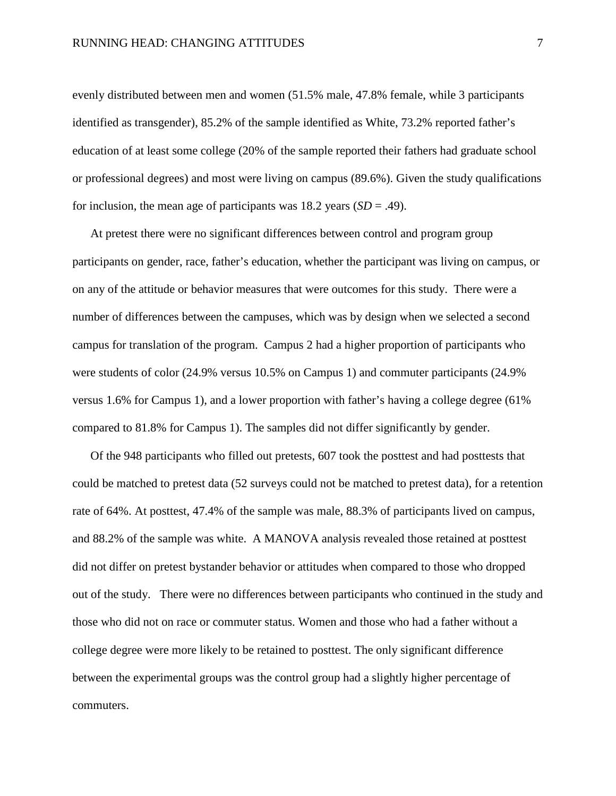evenly distributed between men and women (51.5% male, 47.8% female, while 3 participants identified as transgender), 85.2% of the sample identified as White, 73.2% reported father's education of at least some college (20% of the sample reported their fathers had graduate school or professional degrees) and most were living on campus (89.6%). Given the study qualifications for inclusion, the mean age of participants was  $18.2$  years  $(SD = .49)$ .

At pretest there were no significant differences between control and program group participants on gender, race, father's education, whether the participant was living on campus, or on any of the attitude or behavior measures that were outcomes for this study. There were a number of differences between the campuses, which was by design when we selected a second campus for translation of the program. Campus 2 had a higher proportion of participants who were students of color (24.9% versus 10.5% on Campus 1) and commuter participants (24.9% versus 1.6% for Campus 1), and a lower proportion with father's having a college degree (61% compared to 81.8% for Campus 1). The samples did not differ significantly by gender.

Of the 948 participants who filled out pretests, 607 took the posttest and had posttests that could be matched to pretest data (52 surveys could not be matched to pretest data), for a retention rate of 64%. At posttest, 47.4% of the sample was male, 88.3% of participants lived on campus, and 88.2% of the sample was white. A MANOVA analysis revealed those retained at posttest did not differ on pretest bystander behavior or attitudes when compared to those who dropped out of the study. There were no differences between participants who continued in the study and those who did not on race or commuter status. Women and those who had a father without a college degree were more likely to be retained to posttest. The only significant difference between the experimental groups was the control group had a slightly higher percentage of commuters.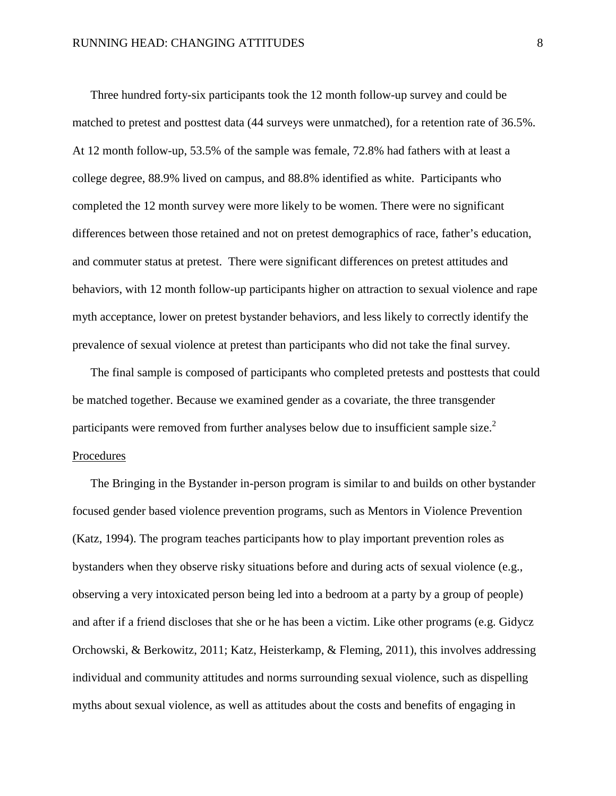Three hundred forty-six participants took the 12 month follow-up survey and could be matched to pretest and posttest data (44 surveys were unmatched), for a retention rate of 36.5%. At 12 month follow-up, 53.5% of the sample was female, 72.8% had fathers with at least a college degree, 88.9% lived on campus, and 88.8% identified as white. Participants who completed the 12 month survey were more likely to be women. There were no significant differences between those retained and not on pretest demographics of race, father's education, and commuter status at pretest. There were significant differences on pretest attitudes and behaviors, with 12 month follow-up participants higher on attraction to sexual violence and rape myth acceptance, lower on pretest bystander behaviors, and less likely to correctly identify the prevalence of sexual violence at pretest than participants who did not take the final survey.

The final sample is composed of participants who completed pretests and posttests that could be matched together. Because we examined gender as a covariate, the three transgender participants were removed from further analyses below due to insufficient sample size.<sup>2</sup> Procedures

The Bringing in the Bystander in-person program is similar to and builds on other bystander focused gender based violence prevention programs, such as Mentors in Violence Prevention (Katz, 1994). The program teaches participants how to play important prevention roles as bystanders when they observe risky situations before and during acts of sexual violence (e.g., observing a very intoxicated person being led into a bedroom at a party by a group of people) and after if a friend discloses that she or he has been a victim. Like other programs (e.g. Gidycz Orchowski, & Berkowitz, 2011; Katz, Heisterkamp, & Fleming, 2011), this involves addressing individual and community attitudes and norms surrounding sexual violence, such as dispelling myths about sexual violence, as well as attitudes about the costs and benefits of engaging in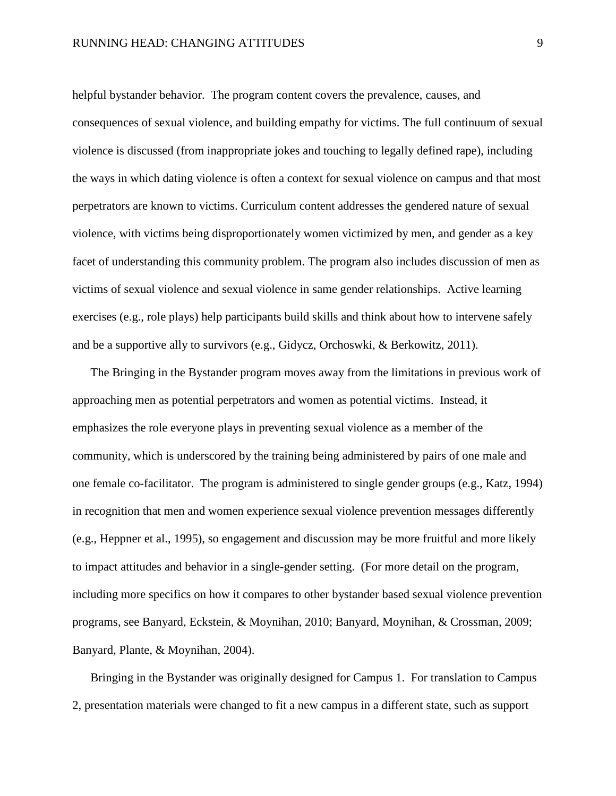helpful bystander behavior. The program content covers the prevalence, causes, and consequences of sexual violence, and building empathy for victims. The full continuum of sexual violence is discussed (from inappropriate jokes and touching to legally defined rape), including the ways in which dating violence is often a context for sexual violence on campus and that most perpetrators are known to victims. Curriculum content addresses the gendered nature of sexual violence, with victims being disproportionately women victimized by men, and gender as a key facet of understanding this community problem. The program also includes discussion of men as victims of sexual violence and sexual violence in same gender relationships. Active learning exercises (e.g., role plays) help participants build skills and think about how to intervene safely and be a supportive ally to survivors (e.g., Gidycz, Orchoswki, & Berkowitz, 2011).

The Bringing in the Bystander program moves away from the limitations in previous work of approaching men as potential perpetrators and women as potential victims. Instead, it emphasizes the role everyone plays in preventing sexual violence as a member of the community, which is underscored by the training being administered by pairs of one male and one female co-facilitator. The program is administered to single gender groups (e.g., Katz, 1994) in recognition that men and women experience sexual violence prevention messages differently (e.g., Heppner et al., 1995), so engagement and discussion may be more fruitful and more likely to impact attitudes and behavior in a single-gender setting. (For more detail on the program, including more specifics on how it compares to other bystander based sexual violence prevention programs, see Banyard, Eckstein, & Moynihan, 2010; Banyard, Moynihan, & Crossman, 2009; Banyard, Plante, & Moynihan, 2004).

Bringing in the Bystander was originally designed for Campus 1. For translation to Campus 2, presentation materials were changed to fit a new campus in a different state, such as support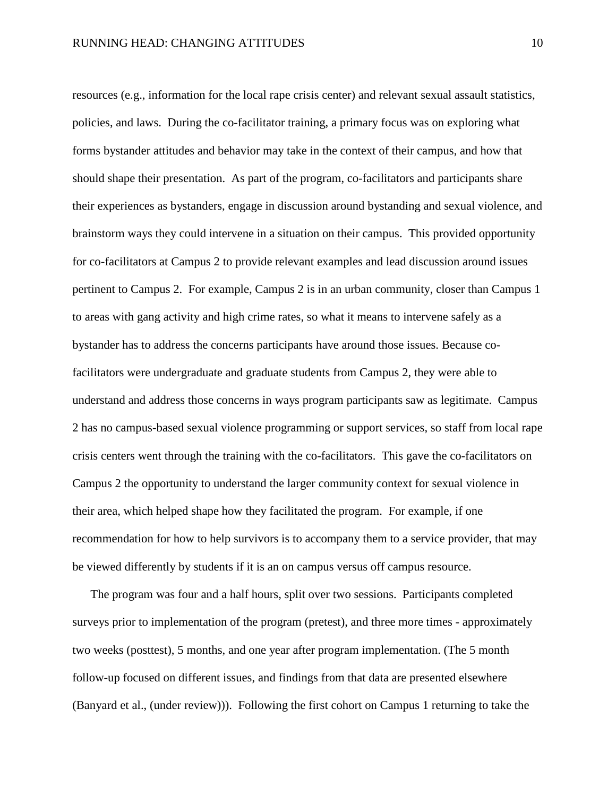resources (e.g., information for the local rape crisis center) and relevant sexual assault statistics, policies, and laws. During the co-facilitator training, a primary focus was on exploring what forms bystander attitudes and behavior may take in the context of their campus, and how that should shape their presentation. As part of the program, co-facilitators and participants share their experiences as bystanders, engage in discussion around bystanding and sexual violence, and brainstorm ways they could intervene in a situation on their campus. This provided opportunity for co-facilitators at Campus 2 to provide relevant examples and lead discussion around issues pertinent to Campus 2. For example, Campus 2 is in an urban community, closer than Campus 1 to areas with gang activity and high crime rates, so what it means to intervene safely as a bystander has to address the concerns participants have around those issues. Because cofacilitators were undergraduate and graduate students from Campus 2, they were able to understand and address those concerns in ways program participants saw as legitimate. Campus 2 has no campus-based sexual violence programming or support services, so staff from local rape crisis centers went through the training with the co-facilitators. This gave the co-facilitators on Campus 2 the opportunity to understand the larger community context for sexual violence in their area, which helped shape how they facilitated the program. For example, if one recommendation for how to help survivors is to accompany them to a service provider, that may be viewed differently by students if it is an on campus versus off campus resource.

The program was four and a half hours, split over two sessions. Participants completed surveys prior to implementation of the program (pretest), and three more times - approximately two weeks (posttest), 5 months, and one year after program implementation. (The 5 month follow-up focused on different issues, and findings from that data are presented elsewhere (Banyard et al., (under review))). Following the first cohort on Campus 1 returning to take the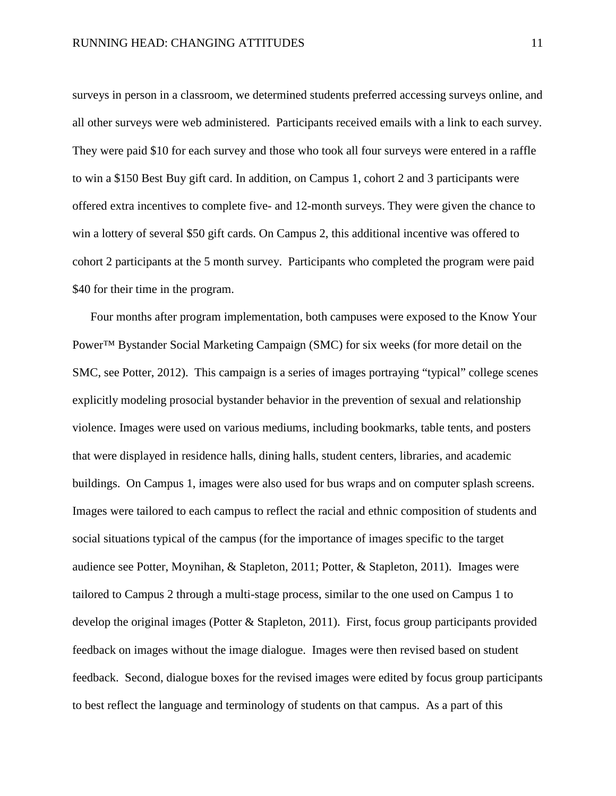surveys in person in a classroom, we determined students preferred accessing surveys online, and all other surveys were web administered. Participants received emails with a link to each survey. They were paid \$10 for each survey and those who took all four surveys were entered in a raffle to win a \$150 Best Buy gift card. In addition, on Campus 1, cohort 2 and 3 participants were offered extra incentives to complete five- and 12-month surveys. They were given the chance to win a lottery of several \$50 gift cards. On Campus 2, this additional incentive was offered to cohort 2 participants at the 5 month survey. Participants who completed the program were paid \$40 for their time in the program.

Four months after program implementation, both campuses were exposed to the Know Your Power™ Bystander Social Marketing Campaign (SMC) for six weeks (for more detail on the SMC, see Potter, 2012). This campaign is a series of images portraying "typical" college scenes explicitly modeling prosocial bystander behavior in the prevention of sexual and relationship violence. Images were used on various mediums, including bookmarks, table tents, and posters that were displayed in residence halls, dining halls, student centers, libraries, and academic buildings. On Campus 1, images were also used for bus wraps and on computer splash screens. Images were tailored to each campus to reflect the racial and ethnic composition of students and social situations typical of the campus (for the importance of images specific to the target audience see Potter, Moynihan, & Stapleton, 2011; Potter, & Stapleton, 2011). Images were tailored to Campus 2 through a multi-stage process, similar to the one used on Campus 1 to develop the original images (Potter & Stapleton, 2011). First, focus group participants provided feedback on images without the image dialogue. Images were then revised based on student feedback. Second, dialogue boxes for the revised images were edited by focus group participants to best reflect the language and terminology of students on that campus. As a part of this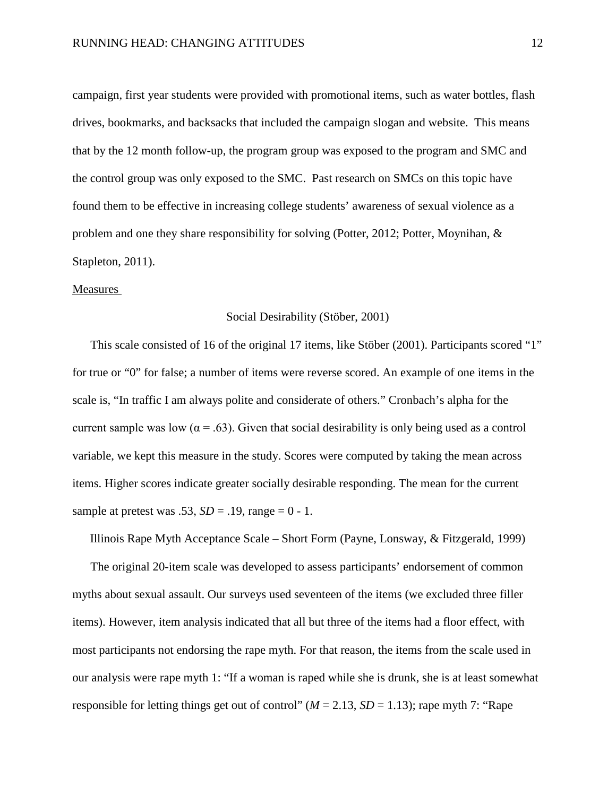campaign, first year students were provided with promotional items, such as water bottles, flash drives, bookmarks, and backsacks that included the campaign slogan and website. This means that by the 12 month follow-up, the program group was exposed to the program and SMC and the control group was only exposed to the SMC. Past research on SMCs on this topic have found them to be effective in increasing college students' awareness of sexual violence as a problem and one they share responsibility for solving (Potter, 2012; Potter, Moynihan, & Stapleton, 2011).

#### Measures

#### Social Desirability (Stöber, 2001)

This scale consisted of 16 of the original 17 items, like Stöber (2001). Participants scored "1" for true or "0" for false; a number of items were reverse scored. An example of one items in the scale is, "In traffic I am always polite and considerate of others." Cronbach's alpha for the current sample was low ( $\alpha = .63$ ). Given that social desirability is only being used as a control variable, we kept this measure in the study. Scores were computed by taking the mean across items. Higher scores indicate greater socially desirable responding. The mean for the current sample at pretest was .53,  $SD = .19$ , range = 0 - 1.

Illinois Rape Myth Acceptance Scale – Short Form (Payne, Lonsway, & Fitzgerald, 1999)

The original 20-item scale was developed to assess participants' endorsement of common myths about sexual assault. Our surveys used seventeen of the items (we excluded three filler items). However, item analysis indicated that all but three of the items had a floor effect, with most participants not endorsing the rape myth. For that reason, the items from the scale used in our analysis were rape myth 1: "If a woman is raped while she is drunk, she is at least somewhat responsible for letting things get out of control" ( $M = 2.13$ ,  $SD = 1.13$ ); rape myth 7: "Rape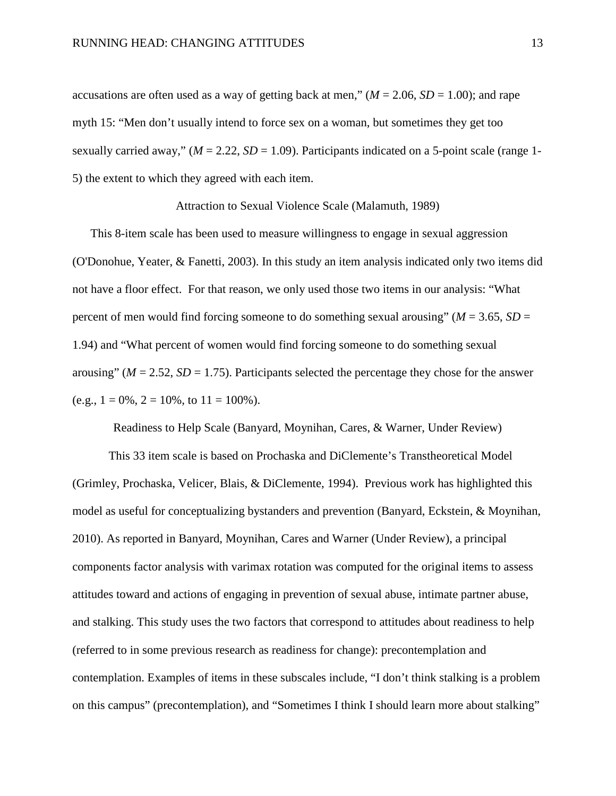accusations are often used as a way of getting back at men,"  $(M = 2.06, SD = 1.00)$ ; and rape myth 15: "Men don't usually intend to force sex on a woman, but sometimes they get too sexually carried away,"  $(M = 2.22, SD = 1.09)$ . Participants indicated on a 5-point scale (range 1-5) the extent to which they agreed with each item.

Attraction to Sexual Violence Scale (Malamuth, 1989)

This 8-item scale has been used to measure willingness to engage in sexual aggression (O'Donohue, Yeater, & Fanetti, 2003). In this study an item analysis indicated only two items did not have a floor effect. For that reason, we only used those two items in our analysis: "What percent of men would find forcing someone to do something sexual arousing" ( $M = 3.65$ ,  $SD =$ 1.94) and "What percent of women would find forcing someone to do something sexual arousing" ( $M = 2.52$ ,  $SD = 1.75$ ). Participants selected the percentage they chose for the answer (e.g.,  $1 = 0\%$ ,  $2 = 10\%$ , to  $11 = 100\%$ ).

Readiness to Help Scale (Banyard, Moynihan, Cares, & Warner, Under Review)

This 33 item scale is based on Prochaska and DiClemente's Transtheoretical Model (Grimley, Prochaska, Velicer, Blais, & DiClemente, 1994). Previous work has highlighted this model as useful for conceptualizing bystanders and prevention (Banyard, Eckstein, & Moynihan, 2010). As reported in Banyard, Moynihan, Cares and Warner (Under Review), a principal components factor analysis with varimax rotation was computed for the original items to assess attitudes toward and actions of engaging in prevention of sexual abuse, intimate partner abuse, and stalking. This study uses the two factors that correspond to attitudes about readiness to help (referred to in some previous research as readiness for change): precontemplation and contemplation. Examples of items in these subscales include, "I don't think stalking is a problem on this campus" (precontemplation), and "Sometimes I think I should learn more about stalking"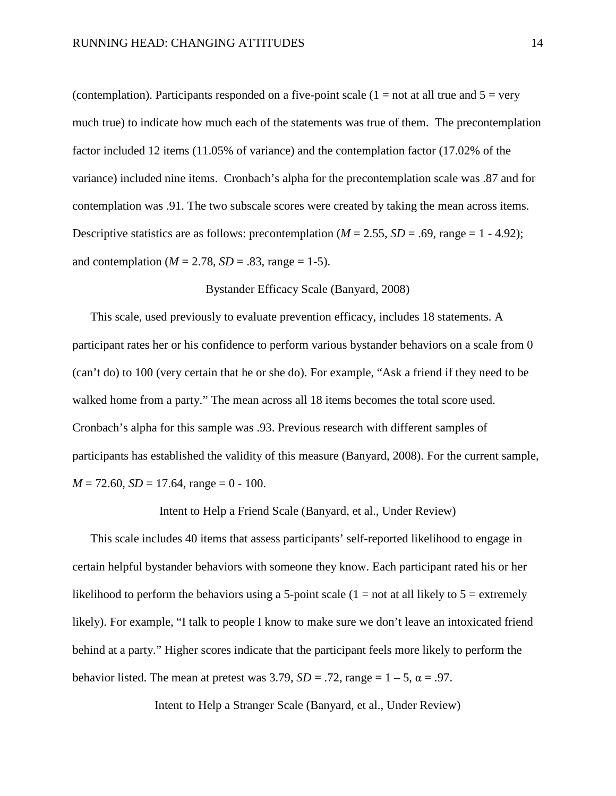(contemplation). Participants responded on a five-point scale  $(1 = not at all true and 5 = very$ much true) to indicate how much each of the statements was true of them. The precontemplation factor included 12 items (11.05% of variance) and the contemplation factor (17.02% of the variance) included nine items. Cronbach's alpha for the precontemplation scale was .87 and for contemplation was .91. The two subscale scores were created by taking the mean across items. Descriptive statistics are as follows: precontemplation  $(M = 2.55, SD = .69, \text{ range} = 1 - 4.92)$ ; and contemplation ( $M = 2.78$ ,  $SD = .83$ , range = 1-5).

#### Bystander Efficacy Scale (Banyard, 2008)

This scale, used previously to evaluate prevention efficacy, includes 18 statements. A participant rates her or his confidence to perform various bystander behaviors on a scale from 0 (can't do) to 100 (very certain that he or she do). For example, "Ask a friend if they need to be walked home from a party." The mean across all 18 items becomes the total score used. Cronbach's alpha for this sample was .93. Previous research with different samples of participants has established the validity of this measure (Banyard, 2008). For the current sample,  $M = 72.60$ ,  $SD = 17.64$ , range = 0 - 100.

Intent to Help a Friend Scale (Banyard, et al., Under Review)

This scale includes 40 items that assess participants' self-reported likelihood to engage in certain helpful bystander behaviors with someone they know. Each participant rated his or her likelihood to perform the behaviors using a 5-point scale  $(1 = not at all likely to 5 = extremely$ likely). For example, "I talk to people I know to make sure we don't leave an intoxicated friend behind at a party." Higher scores indicate that the participant feels more likely to perform the behavior listed. The mean at pretest was  $3.79$ ,  $SD = .72$ , range  $= 1 - 5$ ,  $\alpha = .97$ .

Intent to Help a Stranger Scale (Banyard, et al., Under Review)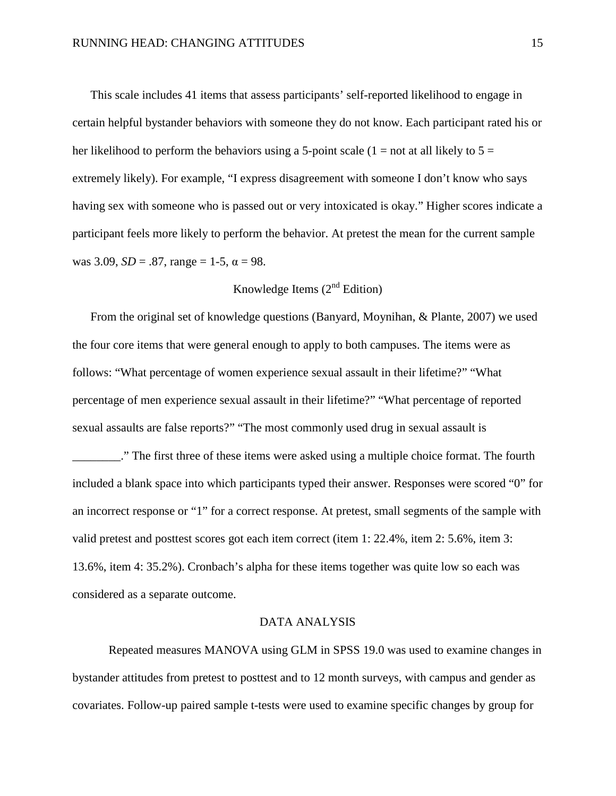This scale includes 41 items that assess participants' self-reported likelihood to engage in certain helpful bystander behaviors with someone they do not know. Each participant rated his or her likelihood to perform the behaviors using a 5-point scale  $(1 = not at all likely to 5 =$ extremely likely). For example, "I express disagreement with someone I don't know who says having sex with someone who is passed out or very intoxicated is okay." Higher scores indicate a participant feels more likely to perform the behavior. At pretest the mean for the current sample was 3.09,  $SD = .87$ , range = 1-5,  $\alpha = 98$ .

### Knowledge Items  $(2<sup>nd</sup> Edition)$

From the original set of knowledge questions (Banyard, Moynihan, & Plante, 2007) we used the four core items that were general enough to apply to both campuses. The items were as follows: "What percentage of women experience sexual assault in their lifetime?" "What percentage of men experience sexual assault in their lifetime?" "What percentage of reported sexual assaults are false reports?" "The most commonly used drug in sexual assault is

\_\_\_\_\_\_\_\_." The first three of these items were asked using a multiple choice format. The fourth included a blank space into which participants typed their answer. Responses were scored "0" for an incorrect response or "1" for a correct response. At pretest, small segments of the sample with valid pretest and posttest scores got each item correct (item 1: 22.4%, item 2: 5.6%, item 3: 13.6%, item 4: 35.2%). Cronbach's alpha for these items together was quite low so each was considered as a separate outcome.

#### DATA ANALYSIS

Repeated measures MANOVA using GLM in SPSS 19.0 was used to examine changes in bystander attitudes from pretest to posttest and to 12 month surveys, with campus and gender as covariates. Follow-up paired sample t-tests were used to examine specific changes by group for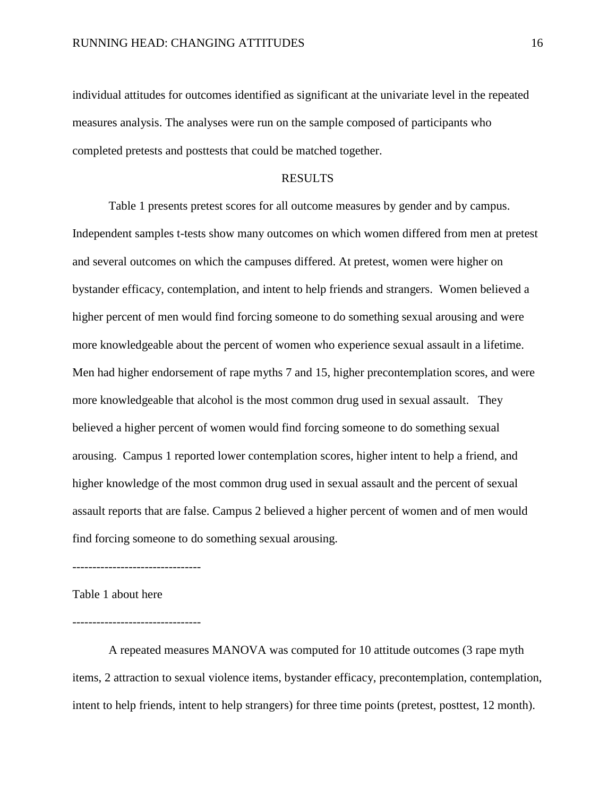individual attitudes for outcomes identified as significant at the univariate level in the repeated measures analysis. The analyses were run on the sample composed of participants who completed pretests and posttests that could be matched together.

#### RESULTS

Table 1 presents pretest scores for all outcome measures by gender and by campus. Independent samples t-tests show many outcomes on which women differed from men at pretest and several outcomes on which the campuses differed. At pretest, women were higher on bystander efficacy, contemplation, and intent to help friends and strangers. Women believed a higher percent of men would find forcing someone to do something sexual arousing and were more knowledgeable about the percent of women who experience sexual assault in a lifetime. Men had higher endorsement of rape myths 7 and 15, higher precontemplation scores, and were more knowledgeable that alcohol is the most common drug used in sexual assault. They believed a higher percent of women would find forcing someone to do something sexual arousing. Campus 1 reported lower contemplation scores, higher intent to help a friend, and higher knowledge of the most common drug used in sexual assault and the percent of sexual assault reports that are false. Campus 2 believed a higher percent of women and of men would find forcing someone to do something sexual arousing.

--------------------------------

Table 1 about here

--------------------------------

A repeated measures MANOVA was computed for 10 attitude outcomes (3 rape myth items, 2 attraction to sexual violence items, bystander efficacy, precontemplation, contemplation, intent to help friends, intent to help strangers) for three time points (pretest, posttest, 12 month).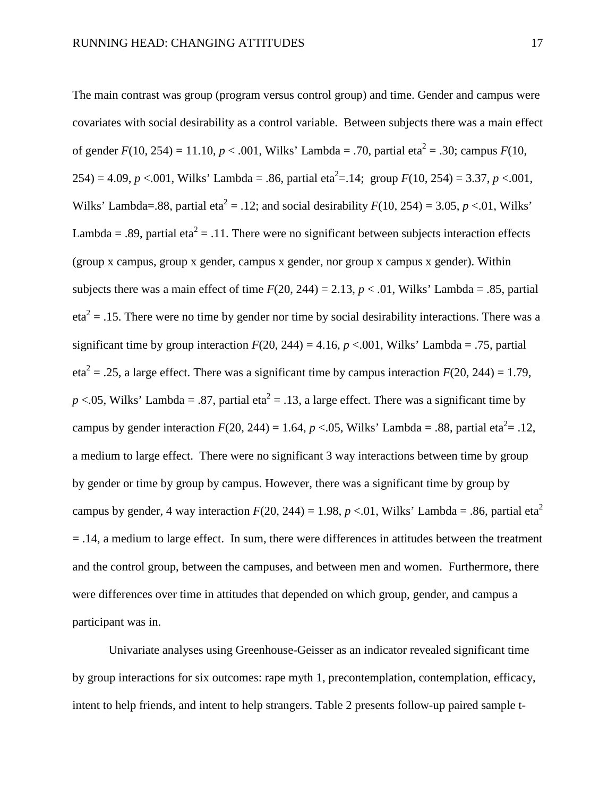The main contrast was group (program versus control group) and time. Gender and campus were covariates with social desirability as a control variable. Between subjects there was a main effect of gender  $F(10, 254) = 11.10$ ,  $p < .001$ , Wilks' Lambda = .70, partial eta<sup>2</sup> = .30; campus  $F(10, 254)$  $254$ ) = 4.09, *p* <.001, Wilks' Lambda = .86, partial eta<sup>2</sup> = .14; group  $F(10, 254)$  = 3.37, *p* <.001, Wilks' Lambda=.88, partial eta<sup>2</sup> = .12; and social desirability  $F(10, 254) = 3.05$ ,  $p < 0.01$ , Wilks' Lambda = .89, partial eta<sup>2</sup> = .11. There were no significant between subjects interaction effects (group x campus, group x gender, campus x gender, nor group x campus x gender). Within subjects there was a main effect of time  $F(20, 244) = 2.13$ ,  $p < .01$ , Wilks' Lambda = .85, partial  $eta^2 = 0.15$ . There were no time by gender nor time by social desirability interactions. There was a significant time by group interaction  $F(20, 244) = 4.16$ ,  $p < .001$ , Wilks' Lambda = .75, partial eta<sup>2</sup> = .25, a large effect. There was a significant time by campus interaction  $F(20, 244) = 1.79$ ,  $p < 0.05$ , Wilks' Lambda = .87, partial eta<sup>2</sup> = .13, a large effect. There was a significant time by campus by gender interaction  $F(20, 244) = 1.64$ ,  $p < .05$ , Wilks' Lambda = .88, partial eta<sup>2</sup>= .12, a medium to large effect. There were no significant 3 way interactions between time by group by gender or time by group by campus. However, there was a significant time by group by campus by gender, 4 way interaction  $F(20, 244) = 1.98$ ,  $p < 0.01$ , Wilks' Lambda = .86, partial eta<sup>2</sup>  $=$  .14, a medium to large effect. In sum, there were differences in attitudes between the treatment and the control group, between the campuses, and between men and women. Furthermore, there were differences over time in attitudes that depended on which group, gender, and campus a participant was in.

Univariate analyses using Greenhouse-Geisser as an indicator revealed significant time by group interactions for six outcomes: rape myth 1, precontemplation, contemplation, efficacy, intent to help friends, and intent to help strangers. Table 2 presents follow-up paired sample t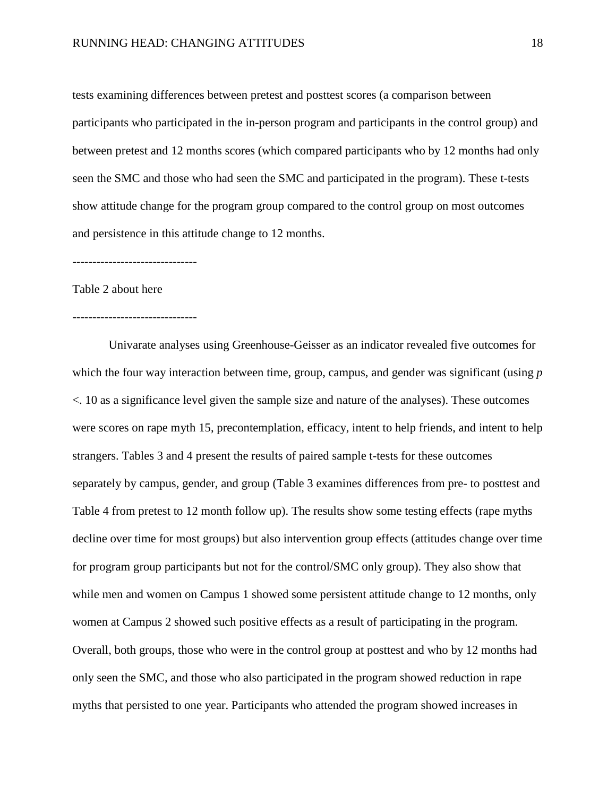tests examining differences between pretest and posttest scores (a comparison between participants who participated in the in-person program and participants in the control group) and between pretest and 12 months scores (which compared participants who by 12 months had only seen the SMC and those who had seen the SMC and participated in the program). These t-tests show attitude change for the program group compared to the control group on most outcomes and persistence in this attitude change to 12 months.

-------------------------------

#### Table 2 about here

#### -------------------------------

Univarate analyses using Greenhouse-Geisser as an indicator revealed five outcomes for which the four way interaction between time, group, campus, and gender was significant (using *p* <. 10 as a significance level given the sample size and nature of the analyses). These outcomes were scores on rape myth 15, precontemplation, efficacy, intent to help friends, and intent to help strangers. Tables 3 and 4 present the results of paired sample t-tests for these outcomes separately by campus, gender, and group (Table 3 examines differences from pre- to posttest and Table 4 from pretest to 12 month follow up). The results show some testing effects (rape myths decline over time for most groups) but also intervention group effects (attitudes change over time for program group participants but not for the control/SMC only group). They also show that while men and women on Campus 1 showed some persistent attitude change to 12 months, only women at Campus 2 showed such positive effects as a result of participating in the program. Overall, both groups, those who were in the control group at posttest and who by 12 months had only seen the SMC, and those who also participated in the program showed reduction in rape myths that persisted to one year. Participants who attended the program showed increases in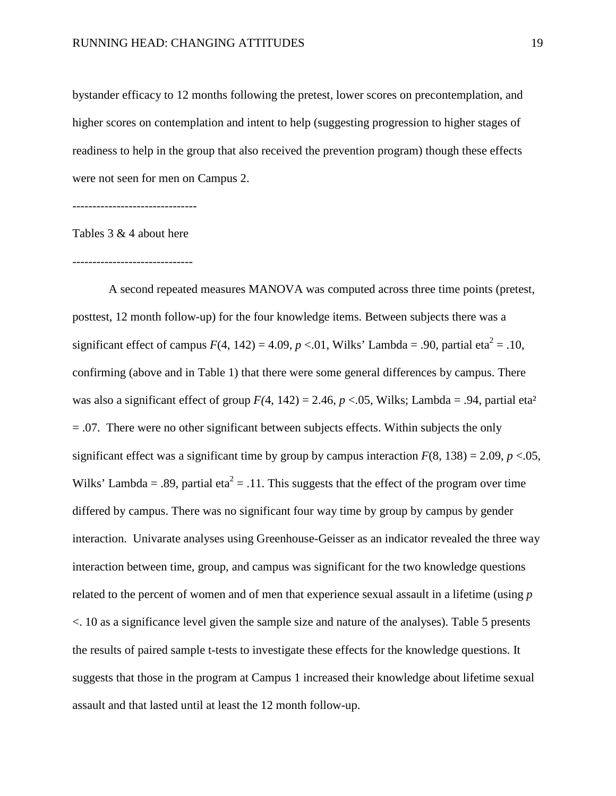bystander efficacy to 12 months following the pretest, lower scores on precontemplation, and higher scores on contemplation and intent to help (suggesting progression to higher stages of readiness to help in the group that also received the prevention program) though these effects were not seen for men on Campus 2.

-------------------------------

Tables 3 & 4 about here

------------------------------

A second repeated measures MANOVA was computed across three time points (pretest, posttest, 12 month follow-up) for the four knowledge items. Between subjects there was a significant effect of campus  $F(4, 142) = 4.09$ ,  $p < 0.01$ , Wilks' Lambda = .90, partial eta<sup>2</sup> = .10, confirming (above and in Table 1) that there were some general differences by campus. There was also a significant effect of group  $F(4, 142) = 2.46$ ,  $p < .05$ , Wilks; Lambda = .94, partial eta<sup>2</sup> = .07. There were no other significant between subjects effects. Within subjects the only significant effect was a significant time by group by campus interaction  $F(8, 138) = 2.09$ ,  $p < 0.05$ , Wilks' Lambda = .89, partial eta<sup>2</sup> = .11. This suggests that the effect of the program over time differed by campus. There was no significant four way time by group by campus by gender interaction. Univarate analyses using Greenhouse-Geisser as an indicator revealed the three way interaction between time, group, and campus was significant for the two knowledge questions related to the percent of women and of men that experience sexual assault in a lifetime (using *p* <. 10 as a significance level given the sample size and nature of the analyses). Table 5 presents the results of paired sample t-tests to investigate these effects for the knowledge questions. It suggests that those in the program at Campus 1 increased their knowledge about lifetime sexual assault and that lasted until at least the 12 month follow-up.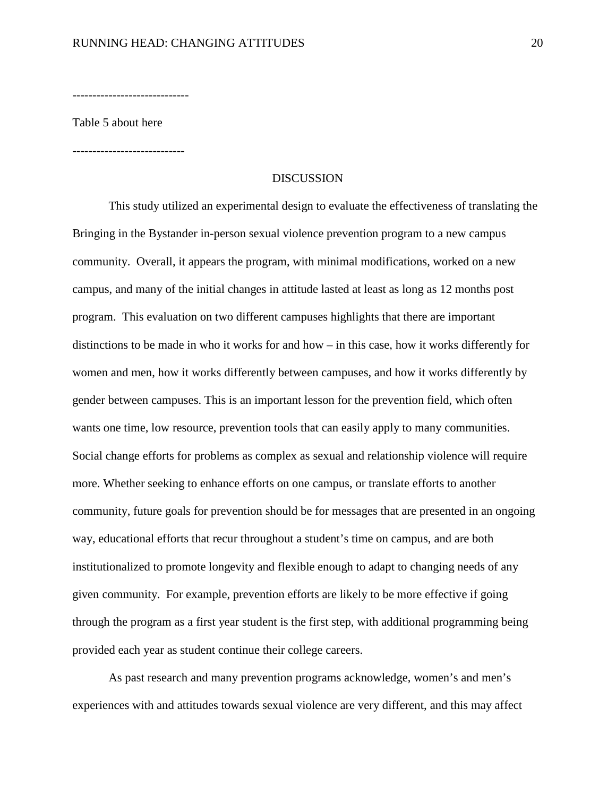-----------------------------

Table 5 about here

----------------------------

#### **DISCUSSION**

This study utilized an experimental design to evaluate the effectiveness of translating the Bringing in the Bystander in-person sexual violence prevention program to a new campus community. Overall, it appears the program, with minimal modifications, worked on a new campus, and many of the initial changes in attitude lasted at least as long as 12 months post program. This evaluation on two different campuses highlights that there are important distinctions to be made in who it works for and how – in this case, how it works differently for women and men, how it works differently between campuses, and how it works differently by gender between campuses. This is an important lesson for the prevention field, which often wants one time, low resource, prevention tools that can easily apply to many communities. Social change efforts for problems as complex as sexual and relationship violence will require more. Whether seeking to enhance efforts on one campus, or translate efforts to another community, future goals for prevention should be for messages that are presented in an ongoing way, educational efforts that recur throughout a student's time on campus, and are both institutionalized to promote longevity and flexible enough to adapt to changing needs of any given community. For example, prevention efforts are likely to be more effective if going through the program as a first year student is the first step, with additional programming being provided each year as student continue their college careers.

As past research and many prevention programs acknowledge, women's and men's experiences with and attitudes towards sexual violence are very different, and this may affect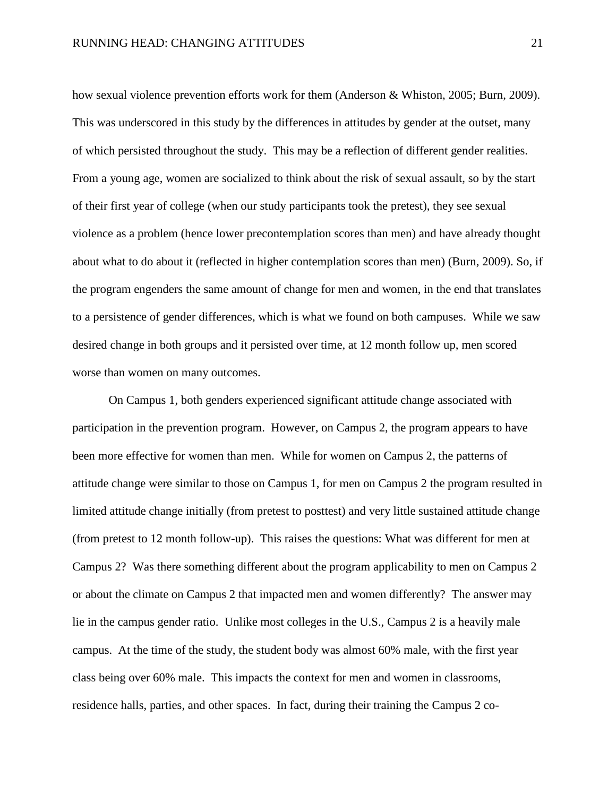how sexual violence prevention efforts work for them (Anderson & Whiston, 2005; Burn, 2009). This was underscored in this study by the differences in attitudes by gender at the outset, many of which persisted throughout the study. This may be a reflection of different gender realities. From a young age, women are socialized to think about the risk of sexual assault, so by the start of their first year of college (when our study participants took the pretest), they see sexual violence as a problem (hence lower precontemplation scores than men) and have already thought about what to do about it (reflected in higher contemplation scores than men) (Burn, 2009). So, if the program engenders the same amount of change for men and women, in the end that translates to a persistence of gender differences, which is what we found on both campuses. While we saw desired change in both groups and it persisted over time, at 12 month follow up, men scored worse than women on many outcomes.

On Campus 1, both genders experienced significant attitude change associated with participation in the prevention program. However, on Campus 2, the program appears to have been more effective for women than men. While for women on Campus 2, the patterns of attitude change were similar to those on Campus 1, for men on Campus 2 the program resulted in limited attitude change initially (from pretest to posttest) and very little sustained attitude change (from pretest to 12 month follow-up). This raises the questions: What was different for men at Campus 2? Was there something different about the program applicability to men on Campus 2 or about the climate on Campus 2 that impacted men and women differently? The answer may lie in the campus gender ratio. Unlike most colleges in the U.S., Campus 2 is a heavily male campus. At the time of the study, the student body was almost 60% male, with the first year class being over 60% male. This impacts the context for men and women in classrooms, residence halls, parties, and other spaces. In fact, during their training the Campus 2 co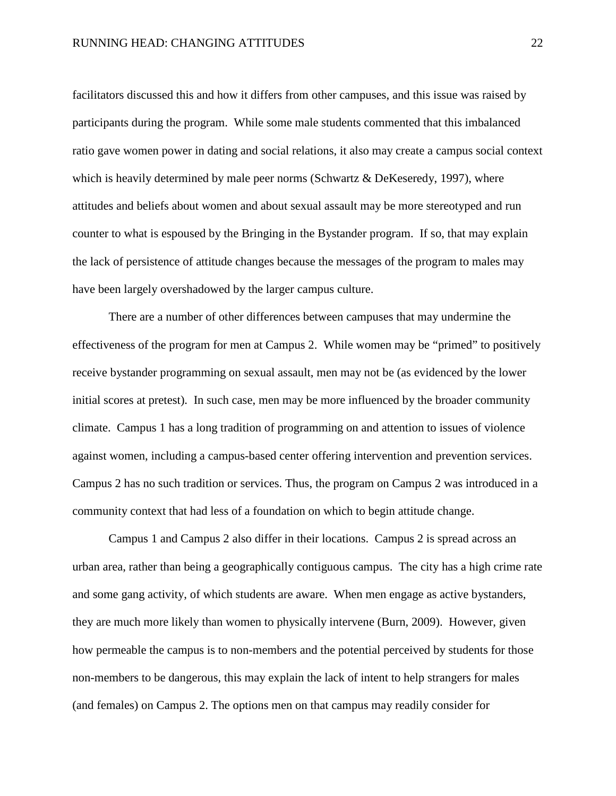facilitators discussed this and how it differs from other campuses, and this issue was raised by participants during the program. While some male students commented that this imbalanced ratio gave women power in dating and social relations, it also may create a campus social context which is heavily determined by male peer norms (Schwartz & DeKeseredy, 1997), where attitudes and beliefs about women and about sexual assault may be more stereotyped and run counter to what is espoused by the Bringing in the Bystander program. If so, that may explain the lack of persistence of attitude changes because the messages of the program to males may have been largely overshadowed by the larger campus culture.

There are a number of other differences between campuses that may undermine the effectiveness of the program for men at Campus 2. While women may be "primed" to positively receive bystander programming on sexual assault, men may not be (as evidenced by the lower initial scores at pretest). In such case, men may be more influenced by the broader community climate. Campus 1 has a long tradition of programming on and attention to issues of violence against women, including a campus-based center offering intervention and prevention services. Campus 2 has no such tradition or services. Thus, the program on Campus 2 was introduced in a community context that had less of a foundation on which to begin attitude change.

Campus 1 and Campus 2 also differ in their locations. Campus 2 is spread across an urban area, rather than being a geographically contiguous campus. The city has a high crime rate and some gang activity, of which students are aware. When men engage as active bystanders, they are much more likely than women to physically intervene (Burn, 2009). However, given how permeable the campus is to non-members and the potential perceived by students for those non-members to be dangerous, this may explain the lack of intent to help strangers for males (and females) on Campus 2. The options men on that campus may readily consider for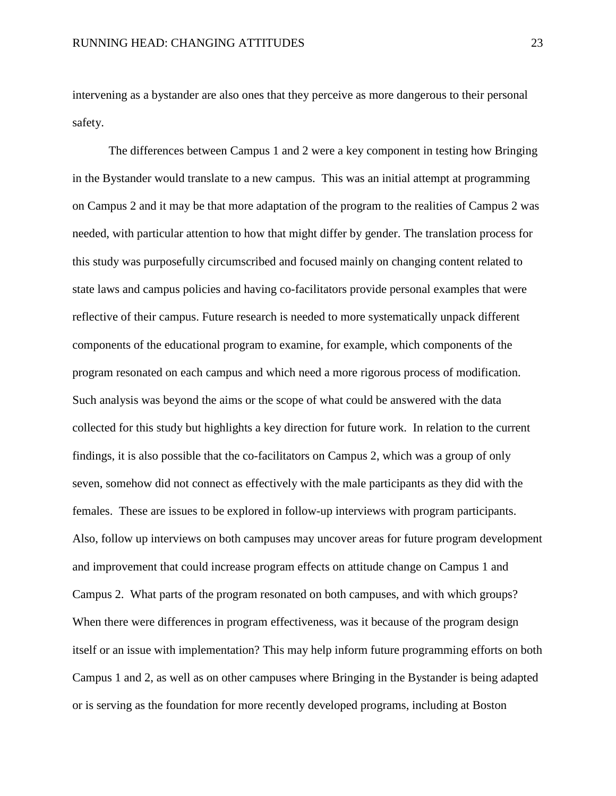intervening as a bystander are also ones that they perceive as more dangerous to their personal safety.

The differences between Campus 1 and 2 were a key component in testing how Bringing in the Bystander would translate to a new campus. This was an initial attempt at programming on Campus 2 and it may be that more adaptation of the program to the realities of Campus 2 was needed, with particular attention to how that might differ by gender. The translation process for this study was purposefully circumscribed and focused mainly on changing content related to state laws and campus policies and having co-facilitators provide personal examples that were reflective of their campus. Future research is needed to more systematically unpack different components of the educational program to examine, for example, which components of the program resonated on each campus and which need a more rigorous process of modification. Such analysis was beyond the aims or the scope of what could be answered with the data collected for this study but highlights a key direction for future work. In relation to the current findings, it is also possible that the co-facilitators on Campus 2, which was a group of only seven, somehow did not connect as effectively with the male participants as they did with the females. These are issues to be explored in follow-up interviews with program participants. Also, follow up interviews on both campuses may uncover areas for future program development and improvement that could increase program effects on attitude change on Campus 1 and Campus 2. What parts of the program resonated on both campuses, and with which groups? When there were differences in program effectiveness, was it because of the program design itself or an issue with implementation? This may help inform future programming efforts on both Campus 1 and 2, as well as on other campuses where Bringing in the Bystander is being adapted or is serving as the foundation for more recently developed programs, including at Boston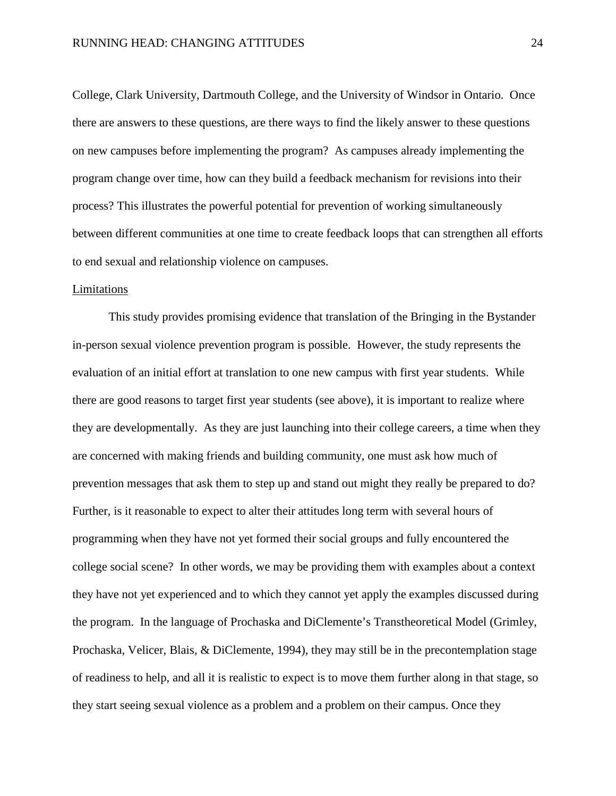College, Clark University, Dartmouth College, and the University of Windsor in Ontario. Once there are answers to these questions, are there ways to find the likely answer to these questions on new campuses before implementing the program? As campuses already implementing the program change over time, how can they build a feedback mechanism for revisions into their process? This illustrates the powerful potential for prevention of working simultaneously between different communities at one time to create feedback loops that can strengthen all efforts to end sexual and relationship violence on campuses.

#### Limitations

This study provides promising evidence that translation of the Bringing in the Bystander in-person sexual violence prevention program is possible. However, the study represents the evaluation of an initial effort at translation to one new campus with first year students. While there are good reasons to target first year students (see above), it is important to realize where they are developmentally. As they are just launching into their college careers, a time when they are concerned with making friends and building community, one must ask how much of prevention messages that ask them to step up and stand out might they really be prepared to do? Further, is it reasonable to expect to alter their attitudes long term with several hours of programming when they have not yet formed their social groups and fully encountered the college social scene? In other words, we may be providing them with examples about a context they have not yet experienced and to which they cannot yet apply the examples discussed during the program. In the language of Prochaska and DiClemente's Transtheoretical Model (Grimley, Prochaska, Velicer, Blais, & DiClemente, 1994), they may still be in the precontemplation stage of readiness to help, and all it is realistic to expect is to move them further along in that stage, so they start seeing sexual violence as a problem and a problem on their campus. Once they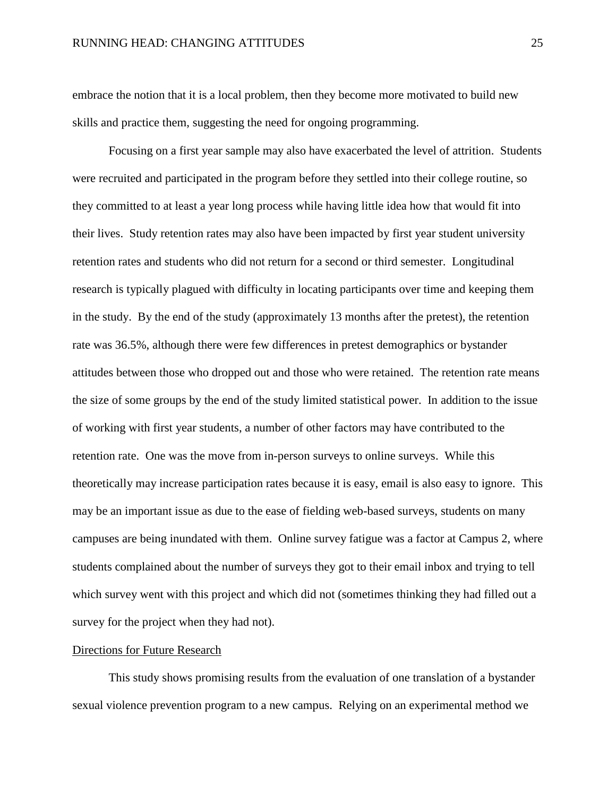embrace the notion that it is a local problem, then they become more motivated to build new skills and practice them, suggesting the need for ongoing programming.

Focusing on a first year sample may also have exacerbated the level of attrition. Students were recruited and participated in the program before they settled into their college routine, so they committed to at least a year long process while having little idea how that would fit into their lives. Study retention rates may also have been impacted by first year student university retention rates and students who did not return for a second or third semester. Longitudinal research is typically plagued with difficulty in locating participants over time and keeping them in the study. By the end of the study (approximately 13 months after the pretest), the retention rate was 36.5%, although there were few differences in pretest demographics or bystander attitudes between those who dropped out and those who were retained. The retention rate means the size of some groups by the end of the study limited statistical power. In addition to the issue of working with first year students, a number of other factors may have contributed to the retention rate. One was the move from in-person surveys to online surveys. While this theoretically may increase participation rates because it is easy, email is also easy to ignore. This may be an important issue as due to the ease of fielding web-based surveys, students on many campuses are being inundated with them. Online survey fatigue was a factor at Campus 2, where students complained about the number of surveys they got to their email inbox and trying to tell which survey went with this project and which did not (sometimes thinking they had filled out a survey for the project when they had not).

#### Directions for Future Research

This study shows promising results from the evaluation of one translation of a bystander sexual violence prevention program to a new campus. Relying on an experimental method we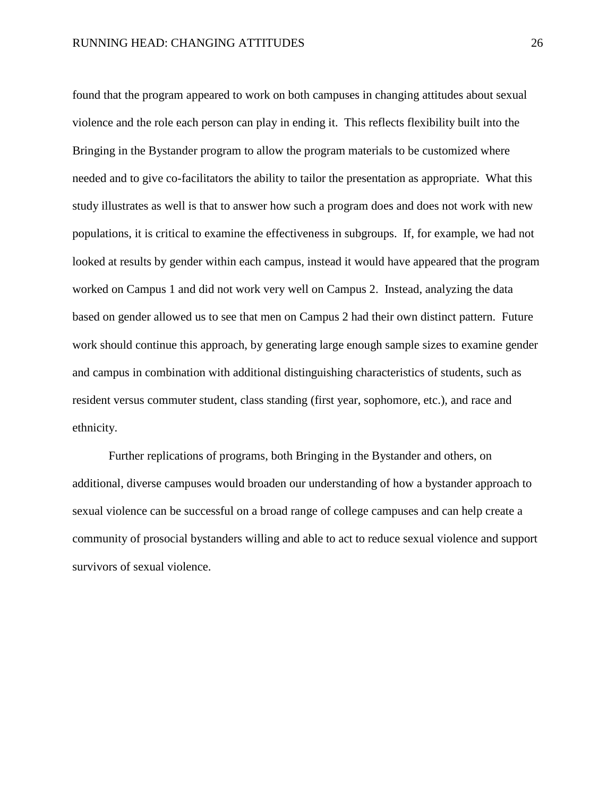found that the program appeared to work on both campuses in changing attitudes about sexual violence and the role each person can play in ending it. This reflects flexibility built into the Bringing in the Bystander program to allow the program materials to be customized where needed and to give co-facilitators the ability to tailor the presentation as appropriate. What this study illustrates as well is that to answer how such a program does and does not work with new populations, it is critical to examine the effectiveness in subgroups. If, for example, we had not looked at results by gender within each campus, instead it would have appeared that the program worked on Campus 1 and did not work very well on Campus 2. Instead, analyzing the data based on gender allowed us to see that men on Campus 2 had their own distinct pattern. Future work should continue this approach, by generating large enough sample sizes to examine gender and campus in combination with additional distinguishing characteristics of students, such as resident versus commuter student, class standing (first year, sophomore, etc.), and race and ethnicity.

Further replications of programs, both Bringing in the Bystander and others, on additional, diverse campuses would broaden our understanding of how a bystander approach to sexual violence can be successful on a broad range of college campuses and can help create a community of prosocial bystanders willing and able to act to reduce sexual violence and support survivors of sexual violence.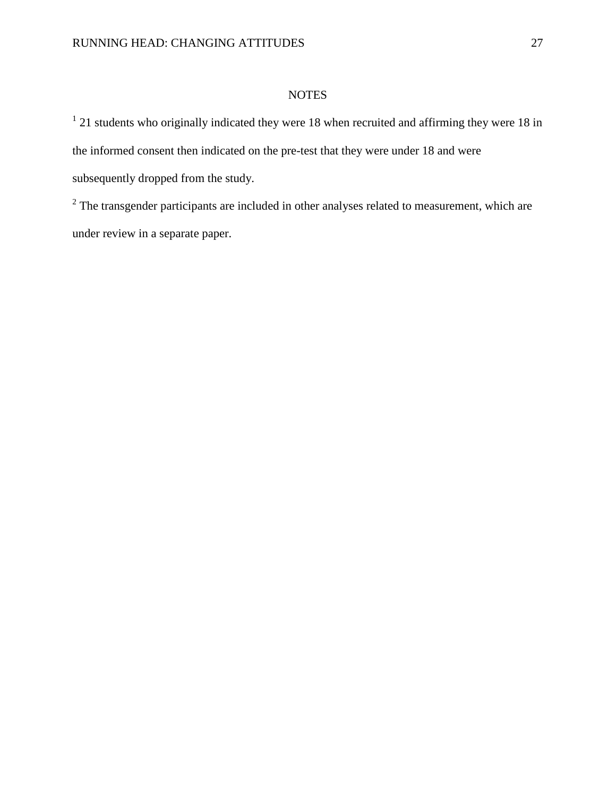#### **NOTES**

 $1$  21 students who originally indicated they were 18 when recruited and affirming they were 18 in the informed consent then indicated on the pre-test that they were under 18 and were subsequently dropped from the study.

 $2$  The transgender participants are included in other analyses related to measurement, which are under review in a separate paper.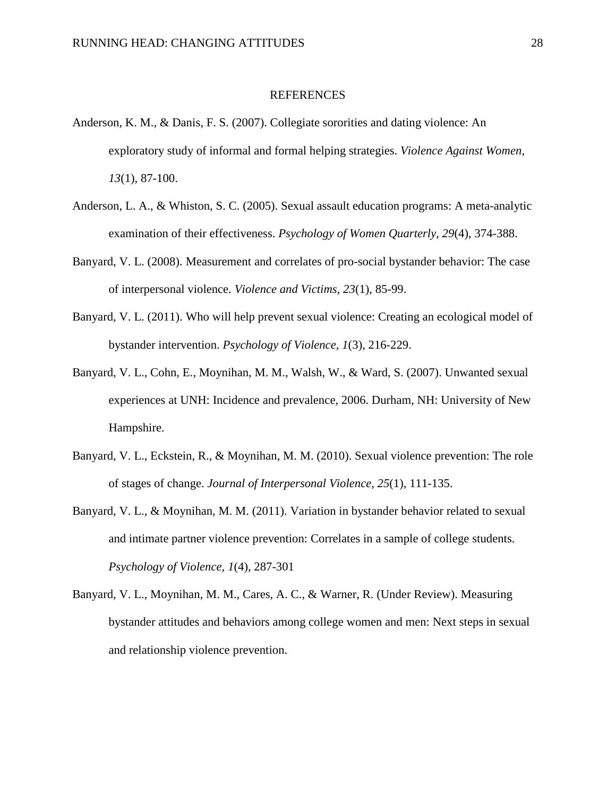#### REFERENCES

- Anderson, K. M., & Danis, F. S. (2007). Collegiate sororities and dating violence: An exploratory study of informal and formal helping strategies. *Violence Against Women, 13*(1), 87-100.
- Anderson, L. A., & Whiston, S. C. (2005). Sexual assault education programs: A meta-analytic examination of their effectiveness. *Psychology of Women Quarterly, 29*(4), 374-388.
- Banyard, V. L. (2008). Measurement and correlates of pro-social bystander behavior: The case of interpersonal violence. *Violence and Victims, 23*(1), 85-99.
- Banyard, V. L. (2011). Who will help prevent sexual violence: Creating an ecological model of bystander intervention. *Psychology of Violence, 1*(3), 216-229.
- Banyard, V. L., Cohn, E., Moynihan, M. M., Walsh, W., & Ward, S. (2007). Unwanted sexual experiences at UNH: Incidence and prevalence, 2006. Durham, NH: University of New Hampshire.
- Banyard, V. L., Eckstein, R., & Moynihan, M. M. (2010). Sexual violence prevention: The role of stages of change. *Journal of Interpersonal Violence, 25*(1), 111-135.
- Banyard, V. L., & Moynihan, M. M. (2011). Variation in bystander behavior related to sexual and intimate partner violence prevention: Correlates in a sample of college students. *Psychology of Violence, 1*(4), 287-301
- Banyard, V. L., Moynihan, M. M., Cares, A. C., & Warner, R. (Under Review). Measuring bystander attitudes and behaviors among college women and men: Next steps in sexual and relationship violence prevention.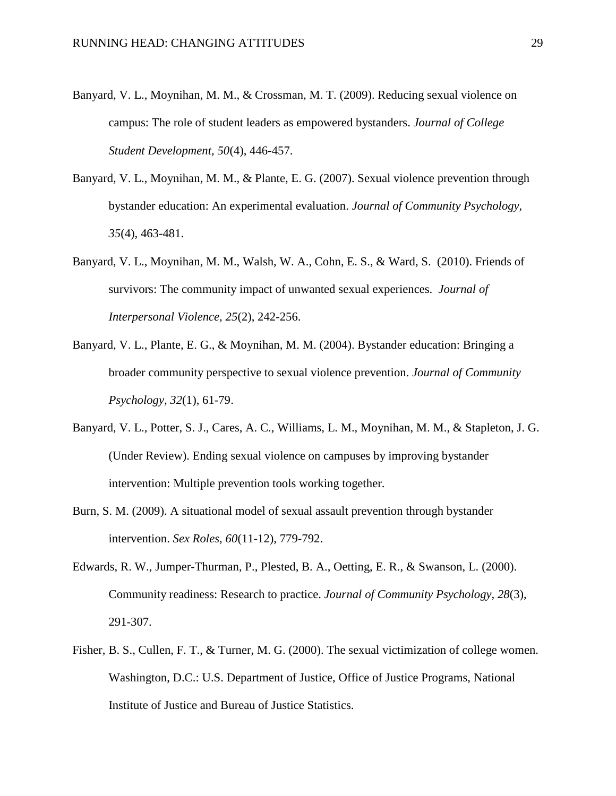- Banyard, V. L., Moynihan, M. M., & Crossman, M. T. (2009). Reducing sexual violence on campus: The role of student leaders as empowered bystanders. *Journal of College Student Development, 50*(4), 446-457.
- Banyard, V. L., Moynihan, M. M., & Plante, E. G. (2007). Sexual violence prevention through bystander education: An experimental evaluation. *Journal of Community Psychology, 35*(4), 463-481.
- Banyard, V. L., Moynihan, M. M., Walsh, W. A., Cohn, E. S., & Ward, S. (2010). Friends of survivors: The community impact of unwanted sexual experiences. *Journal of Interpersonal Violence, 25*(2), 242-256.
- Banyard, V. L., Plante, E. G., & Moynihan, M. M. (2004). Bystander education: Bringing a broader community perspective to sexual violence prevention. *Journal of Community Psychology, 32*(1), 61-79.
- Banyard, V. L., Potter, S. J., Cares, A. C., Williams, L. M., Moynihan, M. M., & Stapleton, J. G. (Under Review). Ending sexual violence on campuses by improving bystander intervention: Multiple prevention tools working together.
- Burn, S. M. (2009). A situational model of sexual assault prevention through bystander intervention. *Sex Roles, 60*(11-12), 779-792.
- Edwards, R. W., Jumper-Thurman, P., Plested, B. A., Oetting, E. R., & Swanson, L. (2000). Community readiness: Research to practice. *Journal of Community Psychology, 28*(3), 291-307.
- Fisher, B. S., Cullen, F. T., & Turner, M. G. (2000). The sexual victimization of college women. Washington, D.C.: U.S. Department of Justice, Office of Justice Programs, National Institute of Justice and Bureau of Justice Statistics.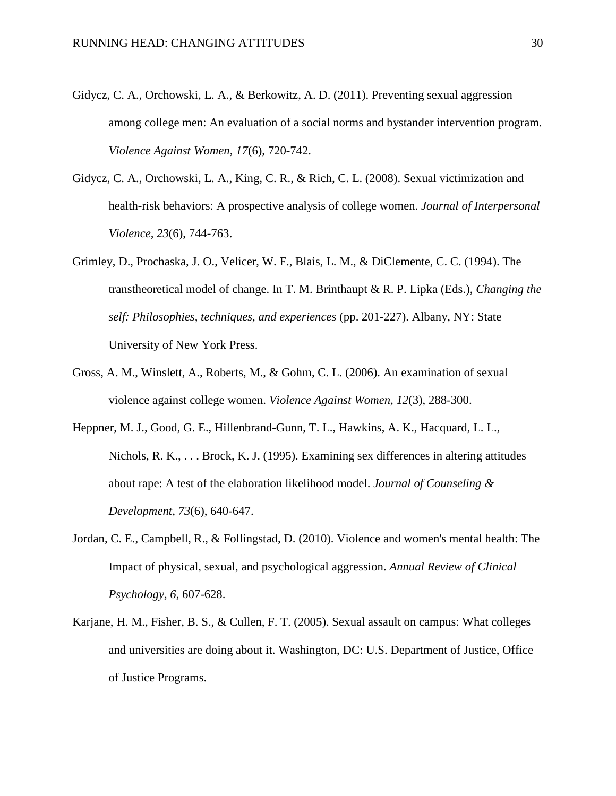- Gidycz, C. A., Orchowski, L. A., & Berkowitz, A. D. (2011). Preventing sexual aggression among college men: An evaluation of a social norms and bystander intervention program. *Violence Against Women, 17*(6), 720-742.
- Gidycz, C. A., Orchowski, L. A., King, C. R., & Rich, C. L. (2008). Sexual victimization and health-risk behaviors: A prospective analysis of college women. *Journal of Interpersonal Violence, 23*(6), 744-763.
- Grimley, D., Prochaska, J. O., Velicer, W. F., Blais, L. M., & DiClemente, C. C. (1994). The transtheoretical model of change. In T. M. Brinthaupt & R. P. Lipka (Eds.), *Changing the self: Philosophies, techniques, and experiences* (pp. 201-227). Albany, NY: State University of New York Press.
- Gross, A. M., Winslett, A., Roberts, M., & Gohm, C. L. (2006). An examination of sexual violence against college women. *Violence Against Women, 12*(3), 288-300.
- Heppner, M. J., Good, G. E., Hillenbrand-Gunn, T. L., Hawkins, A. K., Hacquard, L. L., Nichols, R. K., . . . Brock, K. J. (1995). Examining sex differences in altering attitudes about rape: A test of the elaboration likelihood model. *Journal of Counseling & Development, 73*(6), 640-647.
- Jordan, C. E., Campbell, R., & Follingstad, D. (2010). Violence and women's mental health: The Impact of physical, sexual, and psychological aggression. *Annual Review of Clinical Psychology, 6*, 607-628.
- Karjane, H. M., Fisher, B. S., & Cullen, F. T. (2005). Sexual assault on campus: What colleges and universities are doing about it. Washington, DC: U.S. Department of Justice, Office of Justice Programs.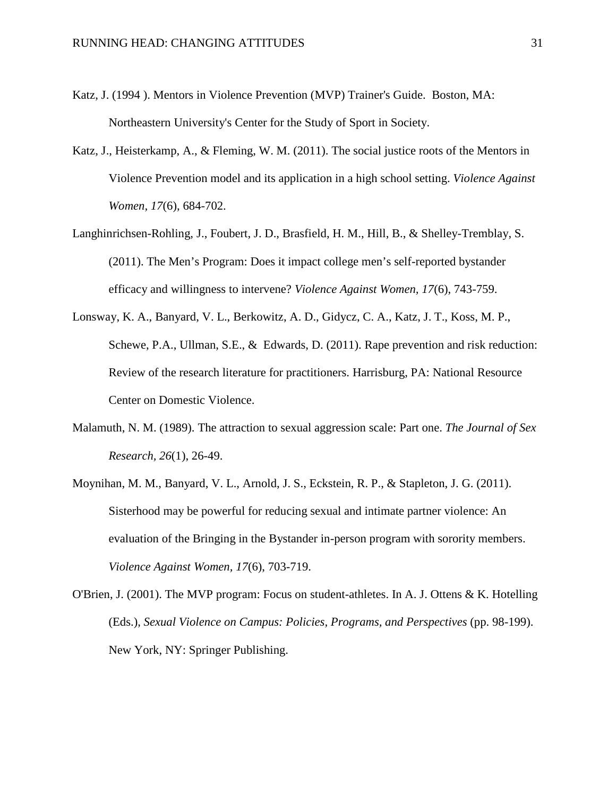- Katz, J. (1994 ). Mentors in Violence Prevention (MVP) Trainer's Guide. Boston, MA: Northeastern University's Center for the Study of Sport in Society.
- Katz, J., Heisterkamp, A., & Fleming, W. M. (2011). The social justice roots of the Mentors in Violence Prevention model and its application in a high school setting. *Violence Against Women, 17*(6), 684-702.
- Langhinrichsen-Rohling, J., Foubert, J. D., Brasfield, H. M., Hill, B., & Shelley-Tremblay, S. (2011). The Men's Program: Does it impact college men's self-reported bystander efficacy and willingness to intervene? *Violence Against Women, 17*(6), 743-759.
- Lonsway, K. A., Banyard, V. L., Berkowitz, A. D., Gidycz, C. A., Katz, J. T., Koss, M. P., Schewe, P.A., Ullman, S.E., & Edwards, D. (2011). Rape prevention and risk reduction: Review of the research literature for practitioners. Harrisburg, PA: National Resource Center on Domestic Violence.
- Malamuth, N. M. (1989). The attraction to sexual aggression scale: Part one. *The Journal of Sex Research, 26*(1), 26-49.
- Moynihan, M. M., Banyard, V. L., Arnold, J. S., Eckstein, R. P., & Stapleton, J. G. (2011). Sisterhood may be powerful for reducing sexual and intimate partner violence: An evaluation of the Bringing in the Bystander in-person program with sorority members. *Violence Against Women, 17*(6), 703-719.
- O'Brien, J. (2001). The MVP program: Focus on student-athletes. In A. J. Ottens & K. Hotelling (Eds.), *Sexual Violence on Campus: Policies, Programs, and Perspectives* (pp. 98-199). New York, NY: Springer Publishing.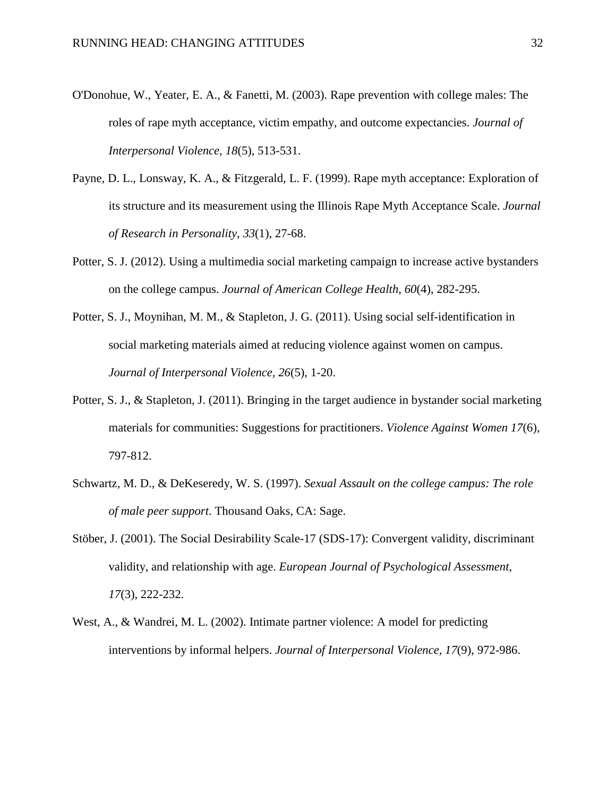- O'Donohue, W., Yeater, E. A., & Fanetti, M. (2003). Rape prevention with college males: The roles of rape myth acceptance, victim empathy, and outcome expectancies. *Journal of Interpersonal Violence, 18*(5), 513-531.
- Payne, D. L., Lonsway, K. A., & Fitzgerald, L. F. (1999). Rape myth acceptance: Exploration of its structure and its measurement using the Illinois Rape Myth Acceptance Scale. *Journal of Research in Personality, 33*(1), 27-68.
- Potter, S. J. (2012). Using a multimedia social marketing campaign to increase active bystanders on the college campus. *Journal of American College Health, 60*(4), 282-295.
- Potter, S. J., Moynihan, M. M., & Stapleton, J. G. (2011). Using social self-identification in social marketing materials aimed at reducing violence against women on campus. *Journal of Interpersonal Violence, 26*(5), 1-20.
- Potter, S. J., & Stapleton, J. (2011). Bringing in the target audience in bystander social marketing materials for communities: Suggestions for practitioners. *Violence Against Women 17*(6), 797-812.
- Schwartz, M. D., & DeKeseredy, W. S. (1997). *Sexual Assault on the college campus: The role of male peer support*. Thousand Oaks, CA: Sage.
- Stöber, J. (2001). The Social Desirability Scale-17 (SDS-17): Convergent validity, discriminant validity, and relationship with age. *European Journal of Psychological Assessment, 17*(3), 222-232.
- West, A., & Wandrei, M. L. (2002). Intimate partner violence: A model for predicting interventions by informal helpers. *Journal of Interpersonal Violence, 17*(9), 972-986.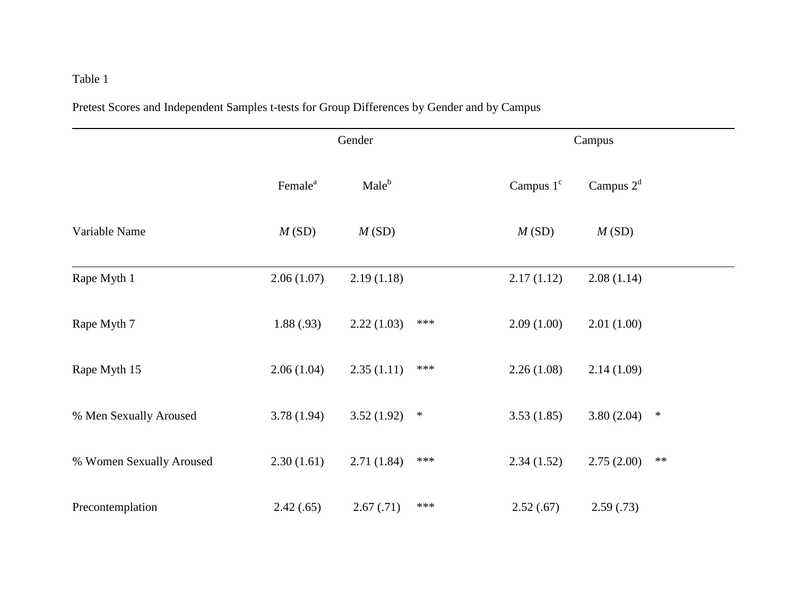# Table 1

Pretest Scores and Independent Samples t-tests for Group Differences by Gender and by Campus

|                          |                     | Gender            |        | Campus      |             |        |  |  |  |
|--------------------------|---------------------|-------------------|--------|-------------|-------------|--------|--|--|--|
|                          | Female <sup>a</sup> | Male <sup>b</sup> |        | Campus $1c$ | Campus $2d$ |        |  |  |  |
| Variable Name            | M(SD)               | M(SD)             |        | M(SD)       | M(SD)       |        |  |  |  |
| Rape Myth 1              | 2.06(1.07)          | 2.19(1.18)        |        | 2.17(1.12)  | 2.08(1.14)  |        |  |  |  |
| Rape Myth 7              | 1.88(.93)           | 2.22(1.03)        | $***$  | 2.09(1.00)  | 2.01(1.00)  |        |  |  |  |
| Rape Myth 15             | 2.06(1.04)          | 2.35(1.11)        | ***    | 2.26(1.08)  | 2.14(1.09)  |        |  |  |  |
| % Men Sexually Aroused   | 3.78(1.94)          | 3.52(1.92)        | $\ast$ | 3.53(1.85)  | 3.80(2.04)  | $\ast$ |  |  |  |
| % Women Sexually Aroused | 2.30(1.61)          | 2.71(1.84)        | ***    | 2.34(1.52)  | 2.75(2.00)  | $**$   |  |  |  |
| Precontemplation         | 2.42(.65)           | 2.67(.71)         | ***    | 2.52(.67)   | 2.59(.73)   |        |  |  |  |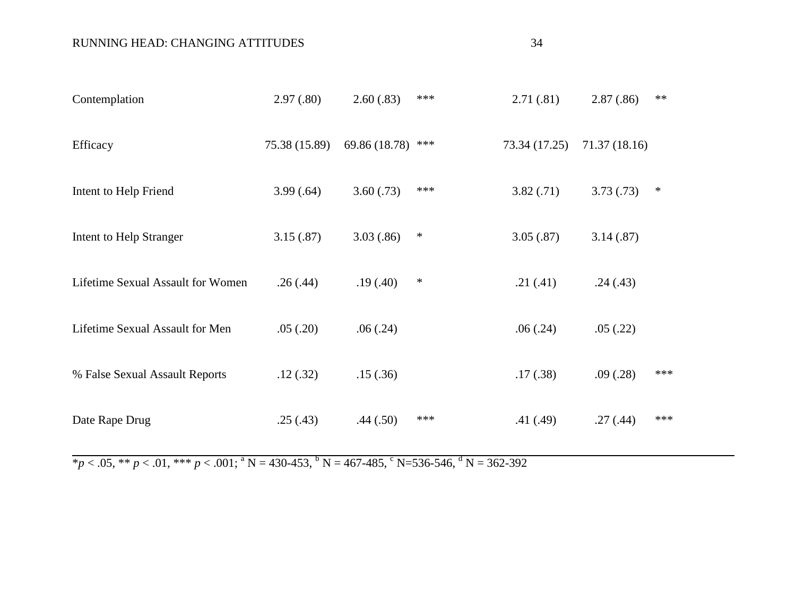### RUNNING HEAD: CHANGING ATTITUDES 34

| Contemplation                     | 2.97(.80)     | 2.60(.83)     | *** | 2.71(0.81)    | 2.87(.86)     | $**$ |
|-----------------------------------|---------------|---------------|-----|---------------|---------------|------|
| Efficacy                          | 75.38 (15.89) | 69.86 (18.78) | *** | 73.34 (17.25) | 71.37 (18.16) |      |
| Intent to Help Friend             | 3.99(.64)     | 3.60(.73)     | *** | 3.82(.71)     | 3.73(.73)     | ∗    |
| Intent to Help Stranger           | 3.15(.87)     | 3.03(.86)     | ∗   | 3.05(.87)     | 3.14(.87)     |      |
| Lifetime Sexual Assault for Women | .26(.44)      | .19(.40)      | ∗   | .21(.41)      | .24(.43)      |      |
| Lifetime Sexual Assault for Men   | .05(.20)      | .06(.24)      |     | .06(.24)      | .05(.22)      |      |
| % False Sexual Assault Reports    | .12(.32)      | .15(.36)      |     | .17(.38)      | .09(.28)      | ***  |
| Date Rape Drug                    | .25(.43)      | .44(.50)      | *** | .41(.49)      | .27(.44)      | ***  |

 $*_{p < .05,} *_{p < .01,} *_{p < .001;} *_{p < .001;} *_{p < .001;} *_{p < .0015} *_{p < .0015} *_{p < .0015} *_{p < .0015} *_{p < .0015} *_{p < .0015} *_{p < .0015} *_{p < .0015} *_{p < .0015} *_{p < .0015} *_{p < .0015} *_{p < .0015} *_{p < .0015} *_{p < .0015} *_{p < .0015} *_{p < .0015} *_{p < .0015} *_{$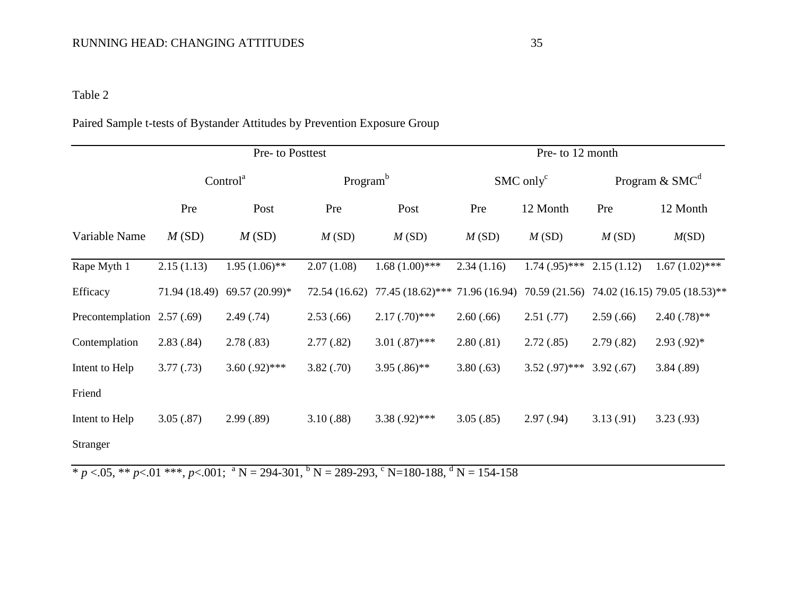# Table 2

## Paired Sample t-tests of Bystander Attitudes by Prevention Exposure Group

|                             |               | Pre- to Posttest     |                      |                                    | Pre- to 12 month |                         |            |                                             |  |  |  |  |
|-----------------------------|---------------|----------------------|----------------------|------------------------------------|------------------|-------------------------|------------|---------------------------------------------|--|--|--|--|
|                             |               | Control <sup>a</sup> | Program <sup>b</sup> |                                    |                  | $SMC$ only <sup>c</sup> |            | Program $\&$ SMC <sup>d</sup>               |  |  |  |  |
|                             | Pre           | Post                 | Pre                  | Post                               | Pre              | 12 Month                | Pre        | 12 Month                                    |  |  |  |  |
| Variable Name               | M(SD)         | M(SD)                | M(SD)                | M(SD)                              | M(SD)            | M(SD)                   | M(SD)      | M(SD)                                       |  |  |  |  |
| Rape Myth 1                 | 2.15(1.13)    | $1.95(1.06)$ **      | 2.07(1.08)           | $1.68(1.00)$ ***                   | 2.34(1.16)       | $1.74(0.95)$ ***        | 2.15(1.12) | $1.67(1.02)$ ***                            |  |  |  |  |
| Efficacy                    | 71.94 (18.49) | 69.57 (20.99)*       | 72.54 (16.62)        | $77.45(18.62)$ *** 71.96 $(16.94)$ |                  |                         |            | 70.59 (21.56) 74.02 (16.15) 79.05 (18.53)** |  |  |  |  |
| Precontemplation 2.57 (.69) |               | 2.49(.74)            | 2.53(0.66)           | $2.17(.70)$ ***                    | 2.60(.66)        | 2.51(.77)               | 2.59(.66)  | $2.40(.78)$ **                              |  |  |  |  |
| Contemplation               | 2.83(.84)     | 2.78(.83)            | 2.77(.82)            | $3.01(.87)$ ***                    | 2.80(.81)        | 2.72(.85)               | 2.79(.82)  | $2.93(0.92)$ *                              |  |  |  |  |
| Intent to Help              | 3.77(0.73)    | $3.60(0.92)$ ***     | 3.82(.70)            | $3.95(.86)$ **                     | 3.80(.63)        | $3.52(0.97)$ ***        | 3.92(.67)  | 3.84(.89)                                   |  |  |  |  |
| Friend                      |               |                      |                      |                                    |                  |                         |            |                                             |  |  |  |  |
| Intent to Help              | 3.05(.87)     | 2.99(.89)            | 3.10(.88)            | $3.38(.92)$ ***                    | 3.05(.85)        | 2.97(.94)               | 3.13(0.91) | 3.23(0.93)                                  |  |  |  |  |
| <b>Stranger</b>             |               |                      |                      |                                    |                  |                         |            |                                             |  |  |  |  |

 $\overline{\text{B}}$  \* *p* <.05, \*\* *p*<.01 \*\*\*, *p*<.001; <sup>a</sup> N = 294-301, <sup>b</sup> N = 289-293, <sup>c</sup> N=180-188, <sup>d</sup> N = 154-158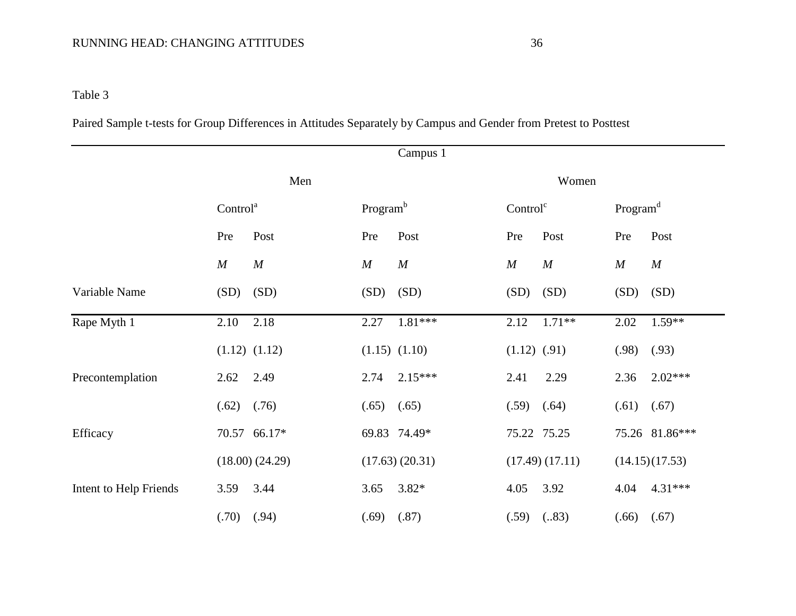# RUNNING HEAD: CHANGING ATTITUDES 36

Table 3

Paired Sample t-tests for Group Differences in Attitudes Separately by Campus and Gender from Pretest to Posttest

|                        |                      | Campus 1             |                      |                      |  |  |  |
|------------------------|----------------------|----------------------|----------------------|----------------------|--|--|--|
|                        | Men                  |                      | Women                |                      |  |  |  |
|                        | Control <sup>a</sup> | Program <sup>b</sup> | Control <sup>c</sup> | Program <sup>d</sup> |  |  |  |
|                        | Pre                  | Post                 | Post                 | Pre                  |  |  |  |
|                        | Post                 | Pre                  | Pre                  | Post                 |  |  |  |
|                        | M                    | M                    | M                    | M                    |  |  |  |
|                        | M                    | $\boldsymbol{M}$     | $\boldsymbol{M}$     | $\boldsymbol{M}$     |  |  |  |
| Variable Name          | (SD)                 | (SD)                 | (SD)                 | (SD)                 |  |  |  |
|                        | (SD)                 | (SD)                 | (SD)                 | (SD)                 |  |  |  |
| Rape Myth 1            | 2.10                 | $1.81***$            | $1.71**$             | $1.59**$             |  |  |  |
|                        | 2.18                 | 2.27                 | 2.12                 | 2.02                 |  |  |  |
|                        | $(1.12)$ $(1.12)$    | $(1.15)$ $(1.10)$    | $(1.12)$ $(.91)$     | (.98)<br>(.93)       |  |  |  |
| Precontemplation       | 2.49                 | 2.74                 | 2.29                 | $2.02***$            |  |  |  |
|                        | 2.62                 | $2.15***$            | 2.41                 | 2.36                 |  |  |  |
|                        | (.62)<br>(.76)       | (.65)<br>(.65)       | $(.59)$ $(.64)$      | (.61)<br>(.67)       |  |  |  |
| Efficacy               | 70.57 66.17*         | 69.83 74.49*         | 75.22 75.25          | 75.26 81.86***       |  |  |  |
|                        | (18.00) (24.29)      | (17.63) (20.31)      | (17.49) (17.11)      | (14.15)(17.53)       |  |  |  |
| Intent to Help Friends | 3.44                 | $3.82*$              | 4.05                 | 4.31***              |  |  |  |
|                        | 3.59                 | 3.65                 | 3.92                 | 4.04                 |  |  |  |
|                        | (.70)                | (.87)                | (.59)                | (.66)                |  |  |  |
|                        | (.94)                | (.69)                | (.83)                | (.67)                |  |  |  |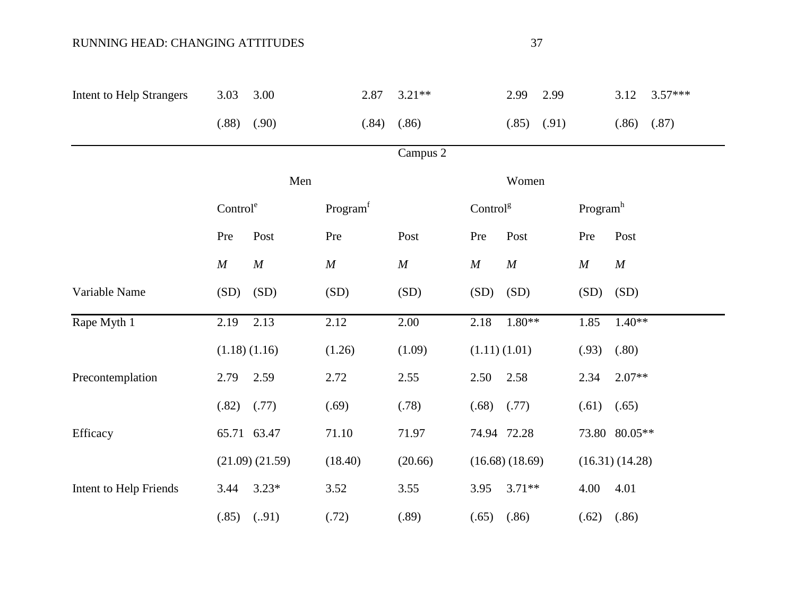### RUNNING HEAD: CHANGING ATTITUDES

| <b>Intent to Help Strangers</b> | 3.03                 | 3.00              | 2.87                 | $3.21**$         |                      | 2.99           | 2.99  |                      | 3.12           | $3.57***$ |
|---------------------------------|----------------------|-------------------|----------------------|------------------|----------------------|----------------|-------|----------------------|----------------|-----------|
|                                 | (.88)                | (.90)             | (.84)                | (.86)            |                      | (.85)          | (.91) |                      | (.86)          | (.87)     |
|                                 |                      |                   |                      | Campus 2         |                      |                |       |                      |                |           |
|                                 |                      | Men               |                      |                  |                      | Women          |       |                      |                |           |
|                                 | Control <sup>e</sup> |                   | Program <sup>f</sup> |                  | Control <sup>g</sup> |                |       | Program <sup>h</sup> |                |           |
|                                 | Pre                  | Post              | Pre                  | Post             | Pre                  | Post           |       | Pre                  | Post           |           |
|                                 | $\boldsymbol{M}$     | $\boldsymbol{M}$  | $\cal M$             | $\boldsymbol{M}$ | $\boldsymbol{M}$     | $\cal M$       |       | $\cal M$             | M              |           |
| Variable Name                   | (SD)                 | (SD)              | (SD)                 | (SD)             | (SD)                 | (SD)           |       | (SD)                 | (SD)           |           |
| Rape Myth 1                     | 2.19                 | 2.13              | 2.12                 | 2.00             | 2.18                 | $1.80**$       |       | 1.85                 | $1.40**$       |           |
|                                 |                      | $(1.18)$ $(1.16)$ | (1.26)               | (1.09)           |                      | (1.11)(1.01)   |       | (.93)                | (.80)          |           |
| Precontemplation                | 2.79                 | 2.59              | 2.72                 | 2.55             | 2.50                 | 2.58           |       | 2.34                 | $2.07**$       |           |
|                                 | (.82)                | (.77)             | (.69)                | (.78)            | (.68)                | (.77)          |       | (.61)                | (.65)          |           |
| Efficacy                        |                      | 65.71 63.47       | 71.10                | 71.97            |                      | 74.94 72.28    |       |                      | 73.80 80.05**  |           |
|                                 |                      | (21.09) (21.59)   | (18.40)              | (20.66)          |                      | (16.68)(18.69) |       |                      | (16.31)(14.28) |           |
| Intent to Help Friends          | 3.44                 | $3.23*$           | 3.52                 | 3.55             | 3.95                 | $3.71**$       |       | 4.00                 | 4.01           |           |
|                                 | (.85)                | (.91)             | (.72)                | (.89)            | (.65)                | (.86)          |       | (.62)                | (.86)          |           |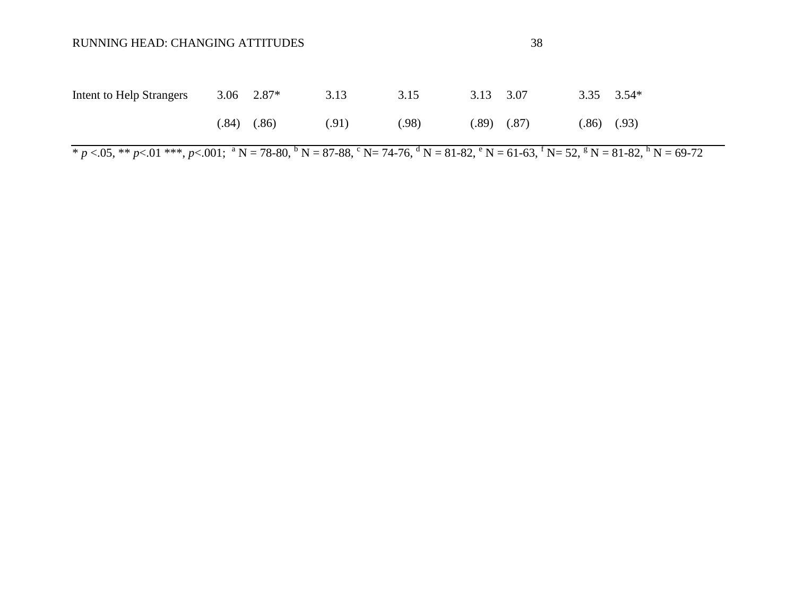| Intent to Help Strangers | $3.06$ $2.87*$  | 3.13  | 3.15  | 3.13 3.07 |                 | $3.35$ $3.54*$  |  |
|--------------------------|-----------------|-------|-------|-----------|-----------------|-----------------|--|
|                          | $(.84)$ $(.86)$ | (.91) | (.98) |           | $(.89)$ $(.87)$ | $(.86)$ $(.93)$ |  |

 $\overline{p}$   $\times$  05, \*\* *p* $\times$  01 \*\*\*, *p* $\times$  001; <sup>a</sup> N = 78-80, <sup>b</sup> N = 87-88, <sup>c</sup> N = 74-76, <sup>d</sup> N = 81-82, <sup>e</sup> N = 61-63, <sup>f</sup> N = 52, <sup>g</sup> N = 81-82, <sup>h</sup> N = 69-72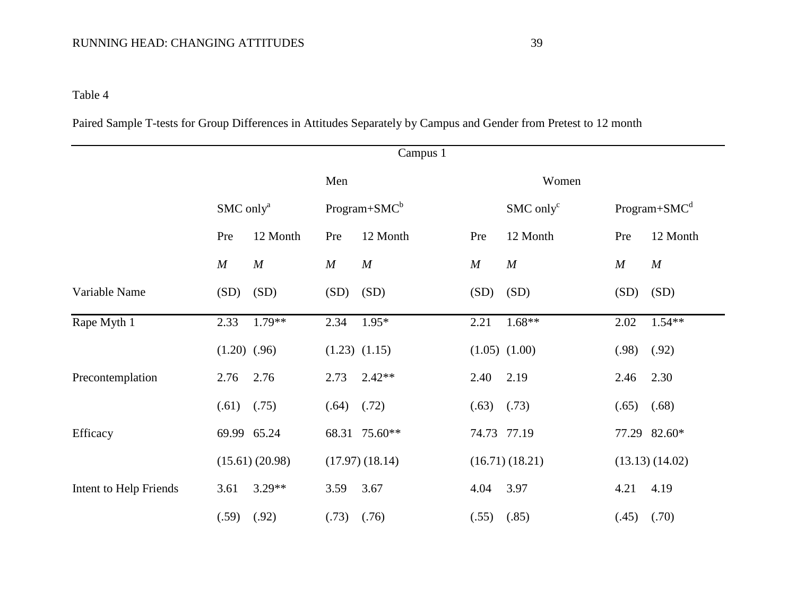# RUNNING HEAD: CHANGING ATTITUDES 39

Table 4

Paired Sample T-tests for Group Differences in Attitudes Separately by Campus and Gender from Pretest to 12 month

|                        |                       |                  |          | Campus 1            |             |                         |                  |                  |
|------------------------|-----------------------|------------------|----------|---------------------|-------------|-------------------------|------------------|------------------|
|                        |                       |                  | Men      |                     |             | Women                   |                  |                  |
|                        | SMC only <sup>a</sup> |                  |          | $Program+SMCb$      |             | $SMC$ only <sup>c</sup> |                  | $Program+SMCd$   |
|                        | Pre                   | 12 Month         | Pre      | 12 Month            | Pre         | 12 Month                | Pre              | 12 Month         |
|                        | M                     | $\boldsymbol{M}$ | $\cal M$ | $\boldsymbol{M}$    | M           | M                       | $\boldsymbol{M}$ | $\boldsymbol{M}$ |
| Variable Name          | (SD)                  | (SD)             | (SD)     | (SD)                | (SD)        | (SD)                    | (SD)             | (SD)             |
| Rape Myth 1            | 2.33                  | $1.79**$         | 2.34     | $1.95*$             | 2.21        | $1.68**$                | 2.02             | $1.54**$         |
|                        | $(1.20)$ $(.96)$      |                  |          | $(1.23)$ $(1.15)$   |             | $(1.05)$ $(1.00)$       | (.98)            | (.92)            |
| Precontemplation       | 2.76                  | 2.76             | 2.73     | $2.42**$            | 2.40        | 2.19                    | 2.46             | 2.30             |
|                        | (.61)                 | (.75)            | (.64)    | (.72)               | (.63)       | (.73)                   | (.65)            | (.68)            |
| Efficacy               |                       | 69.99 65.24      |          | 68.31 75.60**       | 74.73 77.19 |                         |                  | 77.29 82.60*     |
|                        |                       | (15.61) (20.98)  |          | $(17.97)$ $(18.14)$ |             | (16.71)(18.21)          |                  | (13.13) (14.02)  |
| Intent to Help Friends | 3.61                  | $3.29**$         | 3.59     | 3.67                | 4.04        | 3.97                    | 4.21             | 4.19             |
|                        | (.59)                 | (.92)            | (.73)    | (.76)               | (.55)       | (.85)                   | (.45)            | (.70)            |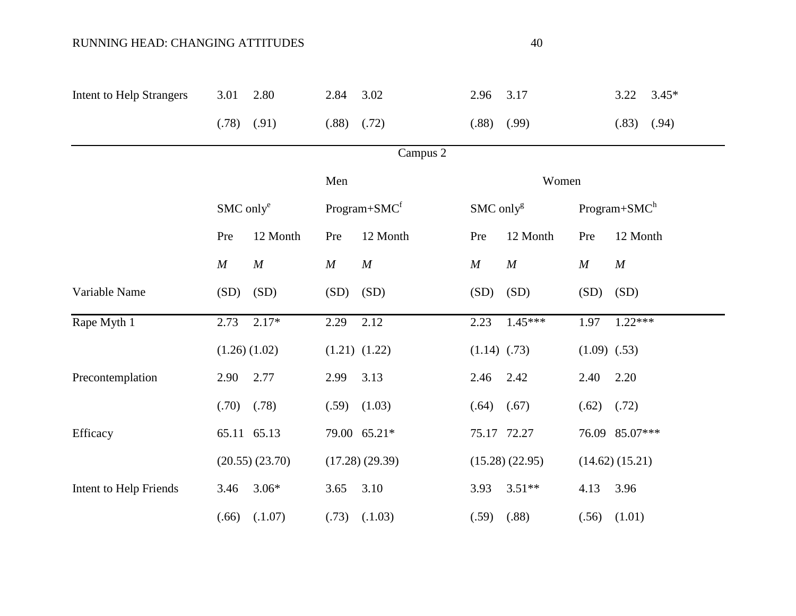## RUNNING HEAD: CHANGING ATTITUDES 40

| <b>Intent to Help Strangers</b> | 3.01     | 2.80                              | 2.84     | 3.02              | 2.96                    | 3.17           |                  | $3.45*$<br>3.22 |  |  |
|---------------------------------|----------|-----------------------------------|----------|-------------------|-------------------------|----------------|------------------|-----------------|--|--|
|                                 | (.78)    | (.91)                             | (.88)    | (.72)             | (.88)                   | (.99)          |                  | (.83)<br>(.94)  |  |  |
|                                 |          |                                   |          | Campus 2          |                         |                |                  |                 |  |  |
|                                 |          | Men<br>Women                      |          |                   |                         |                |                  |                 |  |  |
|                                 |          | $SMC$ only $^e$<br>$Program+SMCf$ |          |                   | $SMC$ only <sup>g</sup> |                |                  | $Program+SMCh$  |  |  |
|                                 | Pre      | 12 Month                          | Pre      | 12 Month          | Pre                     | 12 Month       | Pre              | 12 Month        |  |  |
|                                 | $\cal M$ | $\cal M$                          | $\cal M$ | $\cal M$          | $\cal M$                | M              | M                | M               |  |  |
| Variable Name                   | (SD)     | (SD)                              | (SD)     | (SD)              | (SD)                    | (SD)           | (SD)             | (SD)            |  |  |
| Rape Myth 1                     | 2.73     | $2.17*$                           | 2.29     | 2.12              | 2.23                    | $1.45***$      | 1.97             | $1.22***$       |  |  |
|                                 |          | $(1.26)$ $(1.02)$                 |          | $(1.21)$ $(1.22)$ | $(1.14)$ $(.73)$        |                | $(1.09)$ $(.53)$ |                 |  |  |
| Precontemplation                | 2.90     | 2.77                              | 2.99     | 3.13              | 2.46                    | 2.42           | 2.40             | 2.20            |  |  |
|                                 | (.70)    | (.78)                             | (.59)    | (1.03)            | (.64)                   | (.67)          | (.62)            | (.72)           |  |  |
| Efficacy                        |          | 65.11 65.13                       |          | 79.00 65.21*      | 75.17 72.27             |                |                  | 76.09 85.07***  |  |  |
|                                 |          | (20.55)(23.70)                    |          | (17.28)(29.39)    |                         | (15.28)(22.95) |                  | (14.62) (15.21) |  |  |
| Intent to Help Friends          | 3.46     | $3.06*$                           | 3.65     | 3.10              | 3.93                    | $3.51**$       | 4.13             | 3.96            |  |  |
|                                 | (.66)    | (.1.07)                           | (.73)    | (.1.03)           | (.59)                   | (.88)          | (.56)            | (1.01)          |  |  |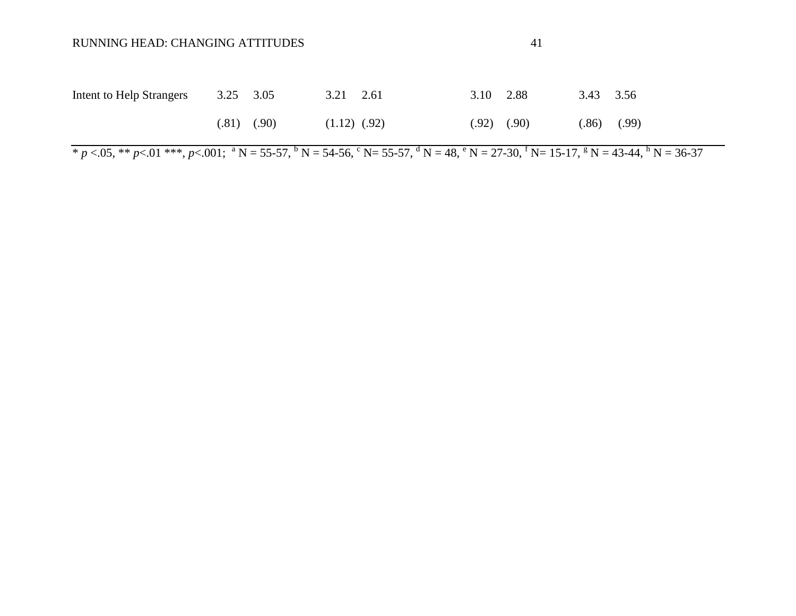| Intent to Help Strangers | 3.25 3.05       | $3.21 \quad 2.61$ | 3.10 2.88       | 3.43 3.56       |  |
|--------------------------|-----------------|-------------------|-----------------|-----------------|--|
|                          | $(.81)$ $(.90)$ | $(1.12)$ $(.92)$  | $(.92)$ $(.90)$ | $(.86)$ $(.99)$ |  |

 $\overline{\text{F}}$  *p* <.05, \*\* *p* <.01 \*\*\*, *p* <.001; <sup>a</sup> N = 55-57, <sup>b</sup> N = 54-56, <sup>c</sup> N = 55-57, <sup>d</sup> N = 48, <sup>e</sup> N = 27-30, <sup>f</sup> N = 15-17, <sup>g</sup> N = 43-44, <sup>h</sup> N = 36-37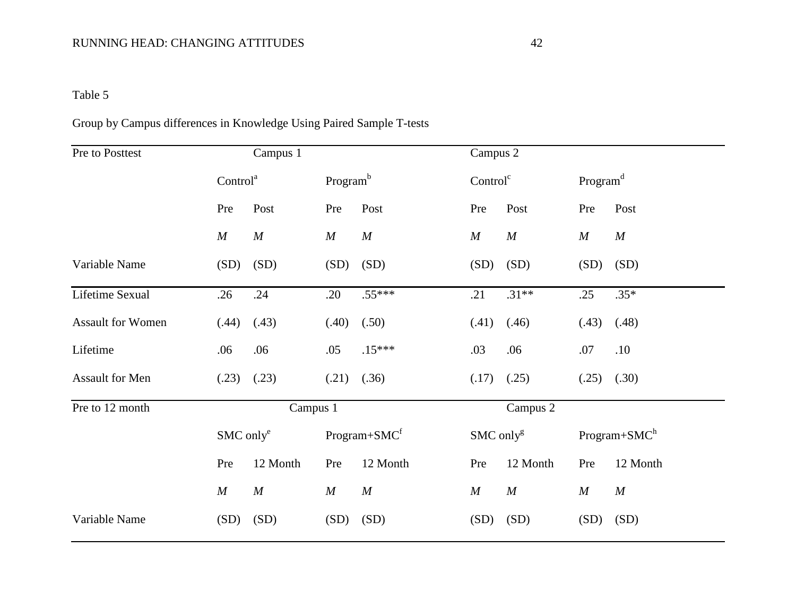## RUNNING HEAD: CHANGING ATTITUDES 42

# Table 5

# Group by Campus differences in Knowledge Using Paired Sample T-tests

| Pre to Posttest   |                      | Campus 1         |                      |                          |                       | Campus 2         |                      |                |  |
|-------------------|----------------------|------------------|----------------------|--------------------------|-----------------------|------------------|----------------------|----------------|--|
|                   | Control <sup>a</sup> |                  | Program <sup>b</sup> |                          | Control <sup>c</sup>  |                  | Program <sup>d</sup> |                |  |
|                   | Pre                  | Post             | Pre                  | Post                     | Pre                   | Post             | Pre                  | Post           |  |
|                   | $\boldsymbol{M}$     | $\boldsymbol{M}$ | M                    | $\boldsymbol{M}$         | $\boldsymbol{M}$      | $\boldsymbol{M}$ | $\boldsymbol{M}$     | M              |  |
| Variable Name     | (SD)                 | (SD)             | (SD)                 | (SD)                     | (SD)                  | (SD)             | (SD)                 | (SD)           |  |
| Lifetime Sexual   | .26                  | .24              | .20                  | $.55***$                 | .21                   | $.31***$         | .25                  | $.35*$         |  |
| Assault for Women | (.44)                | (.43)            | (.40)                | (.50)                    | (.41)                 | (.46)            | (.43)                | (.48)          |  |
| Lifetime          | .06                  | .06              | .05                  | $.15***$                 | .03                   | .06              | .07                  | .10            |  |
| Assault for Men   | (.23)                | (.23)            | (.21)                | (.36)                    | (.17)                 | (.25)            | (.25)                | (.30)          |  |
| Pre to 12 month   |                      | Campus 1         |                      |                          |                       | Campus 2         |                      |                |  |
|                   | $SMC$ only $^e$      |                  |                      | Program+SMC <sup>f</sup> | SMC only <sup>g</sup> |                  |                      | $Program+SMCh$ |  |
|                   | Pre                  | 12 Month         | Pre                  | 12 Month                 | Pre                   | 12 Month         | Pre                  | 12 Month       |  |
|                   | $\boldsymbol{M}$     | $\cal M$         | $\cal M$             | M                        | M                     | $\boldsymbol{M}$ | $\cal M$             | $\cal M$       |  |
| Variable Name     | (SD)                 | (SD)             | (SD)                 | (SD)                     | (SD)                  | (SD)             | (SD)                 | (SD)           |  |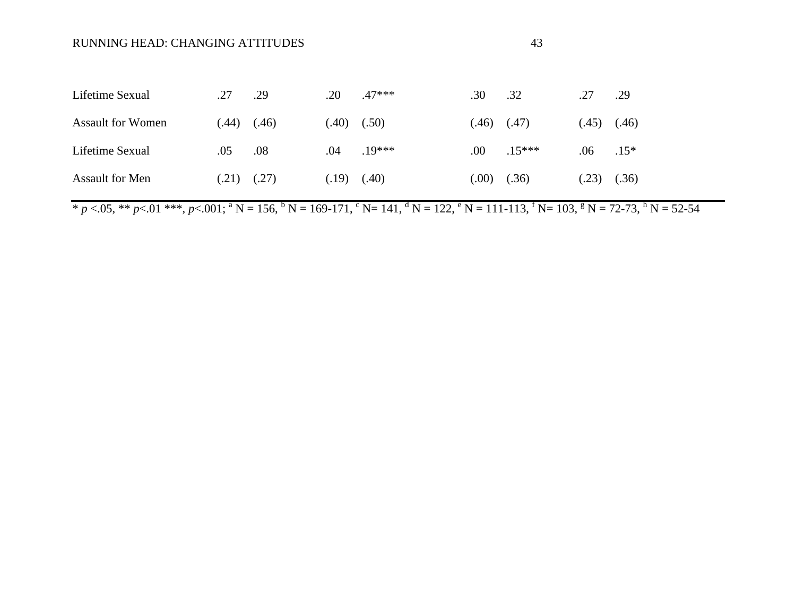| Lifetime Sexual          | .27  | .29   | .20   | .47***   | .30  | .32      | .27   | .29          |
|--------------------------|------|-------|-------|----------|------|----------|-------|--------------|
| <b>Assault for Women</b> | (44) | (.46) | (.40) | (.50)    | (46) | (.47)    | (.45) | (.46)        |
| Lifetime Sexual          | .05  | .08   | .04   | $.19***$ | .00. | $.15***$ | .06   | $.15*$       |
| <b>Assault for Men</b>   | (21) | (.27) | (.19) | (40)     | (00) | (.36)    | (.23) | (.36)        |
|                          |      |       |       |          |      |          |       | $\mathbf{h}$ |

 $* p < .05, ** p < .01 **$ ,  $p < .001$ ;  $* N = 156$ ,  $* N = 169-171$ ,  $* N = 141$ ,  $* N = 122$ ,  $* N = 111-113$ ,  $* N = 103$ ,  $* N = 72-73$ ,  $* N = 52-54$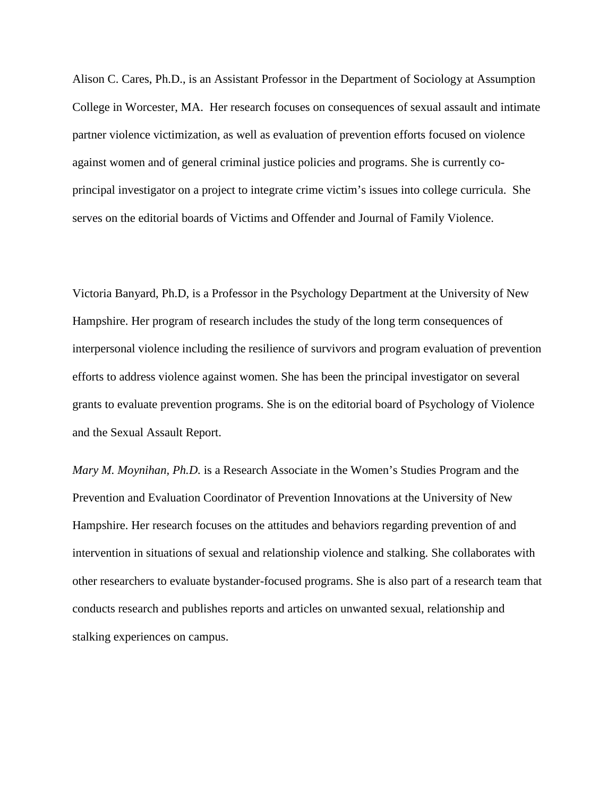Alison C. Cares, Ph.D., is an Assistant Professor in the Department of Sociology at Assumption College in Worcester, MA. Her research focuses on consequences of sexual assault and intimate partner violence victimization, as well as evaluation of prevention efforts focused on violence against women and of general criminal justice policies and programs. She is currently coprincipal investigator on a project to integrate crime victim's issues into college curricula. She serves on the editorial boards of Victims and Offender and Journal of Family Violence.

Victoria Banyard, Ph.D, is a Professor in the Psychology Department at the University of New Hampshire. Her program of research includes the study of the long term consequences of interpersonal violence including the resilience of survivors and program evaluation of prevention efforts to address violence against women. She has been the principal investigator on several grants to evaluate prevention programs. She is on the editorial board of Psychology of Violence and the Sexual Assault Report.

*Mary M. Moynihan, Ph.D.* is a Research Associate in the Women's Studies Program and the Prevention and Evaluation Coordinator of Prevention Innovations at the University of New Hampshire. Her research focuses on the attitudes and behaviors regarding prevention of and intervention in situations of sexual and relationship violence and stalking. She collaborates with other researchers to evaluate bystander-focused programs. She is also part of a research team that conducts research and publishes reports and articles on unwanted sexual, relationship and stalking experiences on campus.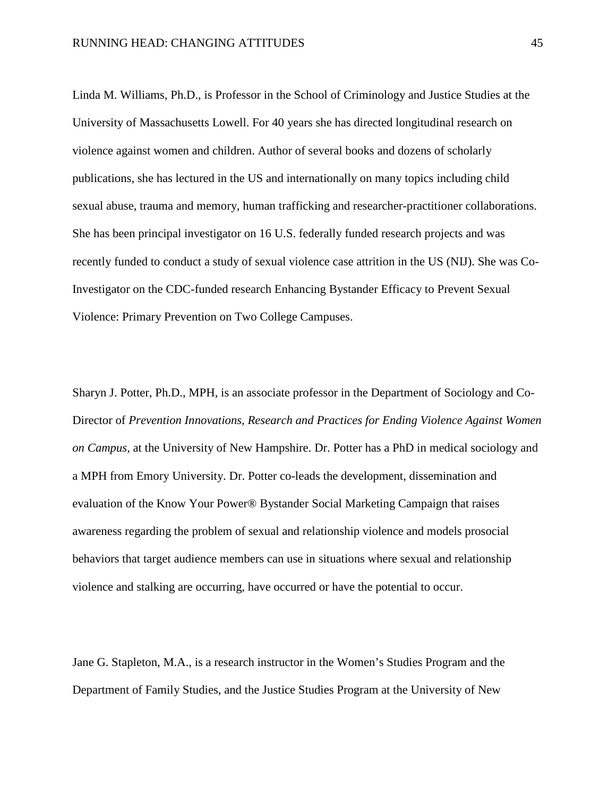Linda M. Williams, Ph.D., is Professor in the School of Criminology and Justice Studies at the University of Massachusetts Lowell. For 40 years she has directed longitudinal research on violence against women and children. Author of several books and dozens of scholarly publications, she has lectured in the US and internationally on many topics including child sexual abuse, trauma and memory, human trafficking and researcher-practitioner collaborations. She has been principal investigator on 16 U.S. federally funded research projects and was recently funded to conduct a study of sexual violence case attrition in the US (NIJ). She was Co-Investigator on the CDC-funded research Enhancing Bystander Efficacy to Prevent Sexual Violence: Primary Prevention on Two College Campuses.

Sharyn J. Potter, Ph.D., MPH, is an associate professor in the Department of Sociology and Co-Director of *Prevention Innovations, Research and Practices for Ending Violence Against Women on Campus,* at the University of New Hampshire. Dr. Potter has a PhD in medical sociology and a MPH from Emory University. Dr. Potter co-leads the development, dissemination and evaluation of the Know Your Power® Bystander Social Marketing Campaign that raises awareness regarding the problem of sexual and relationship violence and models prosocial behaviors that target audience members can use in situations where sexual and relationship violence and stalking are occurring, have occurred or have the potential to occur.

Jane G. Stapleton, M.A., is a research instructor in the Women's Studies Program and the Department of Family Studies, and the Justice Studies Program at the University of New